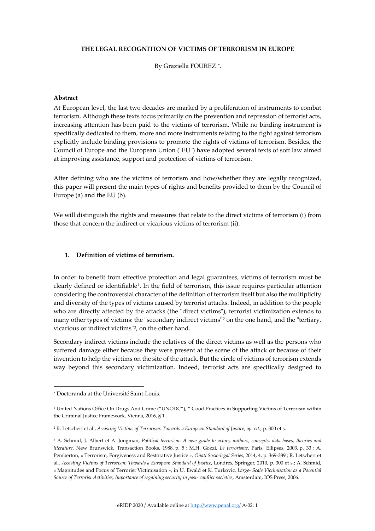# **THE LEGAL RECOGNITION OF VICTIMS OF TERRORISM IN EUROPE**

By Graziella FOUREZ<sup>\*</sup>.

### **Abstract**

At European level, the last two decades are marked by a proliferation of instruments to combat terrorism. Although these texts focus primarily on the prevention and repression of terrorist acts, increasing attention has been paid to the victims of terrorism. While no binding instrument is specifically dedicated to them, more and more instruments relating to the fight against terrorism explicitly include binding provisions to promote the rights of victims of terrorism. Besides, the Council of Europe and the European Union ("EU") have adopted several texts of soft law aimed at improving assistance, support and protection of victims of terrorism.

After defining who are the victims of terrorism and how/whether they are legally recognized, this paper will present the main types of rights and benefits provided to them by the Council of Europe (a) and the EU (b).

We will distinguish the rights and measures that relate to the direct victims of terrorism (i) from those that concern the indirect or vicarious victims of terrorism (ii).

## **1. Definition of victims of terrorism.**

In order to benefit from effective protection and legal guarantees, victims of terrorism must be clearly defined or identifiable[1.](#page-0-1) In the field of terrorism, this issue requires particular attention considering the controversial character of the definition of terrorism itself but also the multiplicity and diversity of the types of victims caused by terrorist attacks. Indeed, in addition to the people who are directly affected by the attacks (the "direct victims"), terrorist victimization extends to many other types of victims: the "secondary indirect victims"<sup>[2](#page-0-2)</sup> on the one hand, and the "tertiary, vicarious or indirect victims"[3](#page-0-3), on the other hand.

Secondary indirect victims include the relatives of the direct victims as well as the persons who suffered damage either because they were present at the scene of the attack or because of their invention to help the victims on the site of the attack. But the circle of victims of terrorism extends way beyond this secondary victimization. Indeed, terrorist acts are specifically designed to

<span id="page-0-0"></span><sup>∗</sup> Doctoranda at the Université Saint-Louis.

<span id="page-0-1"></span><sup>&</sup>lt;sup>1</sup> United Nations Office On Drugs And Crime ("UNODC"), " Good Practices in Supporting Victims of Terrorism within the Criminal Justice Framework, Vienna, 2016, § 1.

<span id="page-0-2"></span><sup>2</sup> R. Letschert et al., *Assisting Victims of Terrorism: Towards a European Standard of Justice*, *op. cit.,* p. 300 et s.

<span id="page-0-3"></span><sup>3</sup> A. Schmid, J. Albert et A. Jongman, *Political terrorism: A new guide to actors, authors, concepts, data bases, theories and literature*, New Brunswick, Transaction Books, 1988, p. 5 ; M.H. Gozzi, *Le terrorisme*, Paris, Ellipses, 2003, p. 33 ; A. Pemberton, « Terrorism, Forgiveness and Restorative Justice », *Oñati Socio-legal Series*, 2014, 4, p. 369-389 ; R. Letschert et al., *Assisting Victims of Terrorism: Towards a European Standard of Justice*, Londres, Springer, 2010*,* p. 300 et s.; A. Schmid, « Magnitudes and Focus of Terrorist Victimisation », in U. Ewald et K. Turkovic, *Large- Scale Victimisation as a Potential Source of Terrorist Activities, Importance of regaining security in post- conflict societies*, Amsterdam, IOS Press, 2006.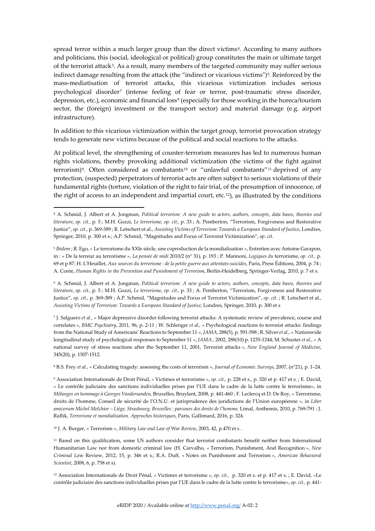spread terror within a much larger group than the direct victims<sup>4</sup>. According to many authors and politicians, this (social, ideological or political) group constitutes the main or ultimate target of the terrorist attack<sup>5</sup>. As a result, many members of the targeted community may suffer serious indirect damage resulting from the attack (the "indirect or vicarious victims")<sup>6</sup>. Reinforced by the mass-mediatisation of terrorist attacks, this vicarious victimization includes serious psychological disorder[7](#page-1-3) (intense feeling of fear or terror, post-traumatic stress disorder, depression, etc.), economic and financial loss<sup>[8](#page-1-4)</sup> (especially for those working in the horeca/tourism sector, the (foreign) investment or the transport sector) and material damage (e.g. airport infrastructure).

In addition to this vicarious victimization within the target group, terrorist provocation strategy tends to generate new victims because of the political and social reactions to the attacks.

At political level, the strengthening of counter-terrorism measures has led to numerous human rights violations, thereby provoking additional victimization (the victims of the fight against terrorism)<sup>[9](#page-1-5)</sup>. Often considered as combatants<sup>[10](#page-1-6)</sup> or "unlawful combatants"<sup>[11](#page-1-7)</sup> deprived of any protection, (suspected) perpetrators of terrorist acts are often subject to serious violations of their fundamental rights (torture, violation of the right to fair trial, of the presumption of innocence, of the right of access to an independent and impartial court, etc.[12\)](#page-1-8)*,* as illustrated by the conditions

<span id="page-1-1"></span><sup>5</sup> *Ibidem* ; R. Ego, « Le terrorisme du XXIe siècle, une coproduction de la mondialisation », Entretien avec Antoine Garapon, in : « De la terreur au terrorisme », *La pensée de midi* 2010/2 (n° 31), p. 193 ; P. Mannoni, *Logiques du* terrorisme, *op. cit.,* p. 69 et p 87; H. L'Heuillet, *Aux sources du terrorisme : de la petite guerre aux attentats-suicides*, Paris, Press Éditions, 2004, p. 74 ; A. Conte, *Human Rights in the Prevention and Punishment of Terrorism*, Berlin-Heidelberg, Springer-Verlag, 2010, p. 7 et s.

<span id="page-1-2"></span><sup>6</sup> A. Schmid, J. Albert et A. Jongman, *Political terrorism: A new guide to actors, authors, concepts, data bases, theories and literature*, *op. cit.,* p. 5 ; M.H. Gozzi, *Le terrorisme*, *op. cit.,* p. 33 ; A. Pemberton, "Terrorism, Forgiveness and Restorative Justice", *op. cit.*, p. 369-389 ; A.P. Schmid, "Magnitudes and Focus of Terrorist Victimization", *op. cit*. ; R. Letschert et al., *Assisting Victims of Terrorism: Towards a European Standard of Justice*, Londres, Springer, 2010*,* p. 300 et s

<span id="page-1-3"></span><sup>7</sup> J. Salguero *et al.,* « Major depressive disorder following terrorist attacks: A systematic review of prevalence, course and correlates », *BMC Psychiatry*, 2011, 96, p. 2-11 ; W. Schlenger *et al.,* « Psychological reactions to terrorist attacks: findings from the National Study of Americans' Reactions to September 11 », *JAMA,* 288(5)*,* p. 591-598 ; R. Silver *et al.,* « Nationwide longitudinal study of psychological responses to September 11 », *JAMA.,* 2002, 288(10) p. 1235-1244; M. Schuster *et al.,* « A national survey of stress reactions after the September 11, 2001, Terrorist attacks », *New England Journal of Medicine*, 345(20), p. 1507-1512.

<span id="page-1-4"></span><sup>8</sup> B.S. Frey *et al.,* « Calculating tragedy: assessing the costs of terrorism », *Journal of Economic Surveys*, 2007, (n°21), p. 1–24.

<span id="page-1-5"></span><sup>9</sup> Association Internationale de Droit Pénal, « Victimes et terrorisme », *op. cit.,* p. 228 et s., p. 320 et p. 417 et s. ; E. David, « Le contrôle judiciaire des sanctions individuelles prises par l'UE dans le cadre de la lutte contre le terrorisme», in *Mélanges en hommage à Georges Vandersanden,* Bruxelles, Bruylant, 2008, p. 441-460 ; F. Leclercq et D. De Roy, « Terrorisme, droits de l'homme, Conseil de sécurité de l'O.N.U. et jurisprudence des juridictions de l'Union européenne », in *Liber amicorum Michel Melchior – Liège, Strasbourg, Bruxelles : parcours des droits de l'homme,* Limal, Anthemis, 2010, p. 769-791 ; J. Raflik, *Terrorisme et mondialisation. Approches historiques*, Paris, Gallimard, 2016, p. 324.

<span id="page-1-6"></span><sup>10</sup> J. A. Burger, « Terrorism », *Military Law and Law of War Review*, 2003, 42, p.470 et s .

<span id="page-1-7"></span><sup>11</sup> Based on this qualification, some US authors consider that terrorist combatants benefit neither from International Humanitarian Law nor from domestic criminal law (H. Carvalho, « Terrorism, Punishment, And Recognition », *New Criminal La*w Review, 2012, 15, p. 346 et s.; R.A. Duff, « Notes on Punishment and Terrorism », *American Behavioral Scientist*, 2008, 6, p. 758 et s).

<span id="page-1-8"></span><sup>12</sup> Association Internationale de Droit Pénal, « Victimes et terrorisme », *op. cit.,* p. 320 et s. et p. 417 et s. ; E. David, «Le contrôle judiciaire des sanctions individuelles prises par l'UE dans le cadre de la lutte contre le terrorisme», *op. cit.,* p. 441-

<span id="page-1-0"></span><sup>4</sup> A. Schmid, J. Albert et A. Jongman, *Political terrorism: A new guide to actors, authors, concepts, data bases, theories and literature*, *op. cit.,* p. 5 ; M.H. Gozzi, *Le terrorisme*, *op. cit.,* p. 33 ; A. Pemberton, "Terrorism, Forgiveness and Restorative Justice", *op. cit.*, p. 369-389 ; R. Letschert et al., *Assisting Victims of Terrorism: Towards a European Standard of Justice*, Londres, Springer, 2010*,* p. 300 et s.; A.P. Schmid, "Magnitudes and Focus of Terrorist Victimization", *op. cit*.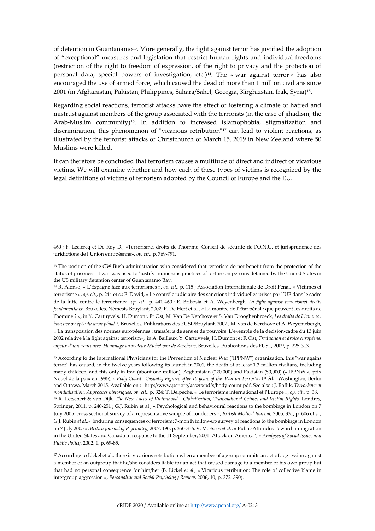of detention in Guantanamo[13](#page-2-0). More generally, the fight against terror has justified the adoption of "exceptional" measures and legislation that restrict human rights and individual freedoms (restriction of the right to freedom of expression, of the right to privacy and the protection of personal data, special powers of investigation, etc.)[14](#page-2-1). The « war against terror » has also encouraged the use of armed force, which caused the dead of more than 1 million civilians since 2001 (in Afghanistan, Pakistan, Philippines, Sahara/Sahel, Georgia, Kirghizstan, Irak, Syria)[15](#page-2-2).

Regarding social reactions, terrorist attacks have the effect of fostering a climate of hatred and mistrust against members of the group associated with the terrorists (in the case of jihadism, the Arab-Muslim community)<sup>16</sup>. In addition to increased islamophobia, stigmatization and discrimination, this phenomenon of "vicarious retribution"[17](#page-2-4) can lead to violent reactions, as illustrated by the terrorist attacks of Christchurch of March 15, 2019 in New Zeeland where 50 Muslims were killed.

It can therefore be concluded that terrorism causes a multitude of direct and indirect or vicarious victims. We will examine whether and how each of these types of victims is recognized by the legal definitions of victims of terrorism adopted by the Council of Europe and the EU.

<span id="page-2-3"></span><span id="page-2-2"></span><sup>15</sup> According to the International Physicians for the Prevention of Nuclear War ("IPPNW") organization, this "war agains terror" has caused, in the twelve years following its launch in 2001, the death of at least 1.3 million civilians, including many children, and this only in Iraq (about one million), Afghanistan (220,000) and Pakistan (80,000) (« IPPNW », prix Nobel de la paix en 1985), « *Body Count : Casualty Figures after 10 years of the 'War on Terror'*», 1st éd. : Washington, Berlin and Ottawa, March 2015. Available on : [http://www.psr.org/assets/pdfs/body-count.pdf.](http://www.psr.org/assets/pdfs/body-count.pdf) See also : J. Raflik, *Terrorisme et mondialisation. Approches historiques*, *op. cit.,* p. 324; T. Delpeche, « Le terrorisme international et l'Europe », *op. cit.,* p. 38. <sup>16</sup> R. Letschert & van Dijk**,** *The New Faces of Victimhood - Globalization, Transnational Crimes and Victim Rights,* Londres, Springer, 2011, p. 240-251 ; G.J. Rubin et al., « Psychological and behavioural reactions to the bombings in London on 7 July 2005: cross sectional survey of a representative sample of Londoners », *British Medical Journal*, 2005, 331, p. 606 et s. ; G.J. Rubin *et al.,«* Enduring consequences of terrorism: 7-month follow-up survey of reactions to the bombings in London on 7 July 2005 », *British Journal of Psychiatry,* 2007, 190, p. 350-356*;* V. M. Esses *et al.*, « Public Attitudes Toward Immigration in the United States and Canada in response to the 11 September, 2001 'Attack on America", » *Analyses of Social Issues and Public Policy*, 2002, 1, p. 69-85.

<span id="page-2-4"></span><sup>17</sup> According to Lickel et al., there is vicarious retribution when a member of a group commits an act of aggression against a member of an outgroup that he/she considers liable for an act that caused damage to a member of his own group but that had no personal consequence for him/her (B. Lickel *et al.,* « Vicarious retribution: The role of collective blame in intergroup aggression », *Personality and Social Psychology Review*, 2006, 10, p. 372–390).

<sup>460</sup> ; F. Leclercq et De Roy D., «Terrorisme, droits de l'homme, Conseil de sécurité de l'O.N.U. et jurisprudence des juridictions de l'Union européenne», *op. cit.,* p. 769-791.

<span id="page-2-0"></span><sup>&</sup>lt;sup>13</sup> The position of the GW Bush administration who considered that terrorists do not benefit from the protection of the status of prisoners of war was used to "justify" numerous practices of torture on persons detained by the United States in the US military detention center of Guantanamo Bay.

<span id="page-2-1"></span><sup>14</sup> R. Alonso, « L'Espagne face aux terrorismes », *op. cit.,* p. 115 ; Association Internationale de Droit Pénal, « Victimes et terrorisme », *op. cit.*, p. 244 et s.; E. David, « Le contrôle judiciaire des sanctions individuelles prises par l'UE dans le cadre de la lutte contre le terrorisme», *op. cit.*, p. 441-460 ; E. Bribosia et A. Weyenbergh, *La fight against terrorismet droits fondamentaux*, Bruxelles, Némésis-Bruylant, 2002; P. De Hert et al., « La montée de l'Etat pénal : que peuvent les droits de l'homme ? », in Y. Cartuyvels, H. Dumont, Fr Ost, M. Van De Kerchove et S. Van Drooghenbroeck, *Les droits de l'homme : bouclier ou épée du droit pénal ?,* Bruxelles, Publications des FUSL/Bruylant, 2007 ; M. van de Kerchove et A. Weyemebergh, « La transposition des normes européennes : transferts de sens et de pouvoirs: L'exemple de la décision-cadre du 13 juin 2002 relative à la fight against terrorism», in A. Bailleux, Y. Cartuyvels, H. Dumont et F. Ost, *Traduction et droits européens: enjeux d'une rencontre. Hommage au recteur Michel van de Kerchove*, Bruxelles, Publications des FUSL, 2009, p. 225-313.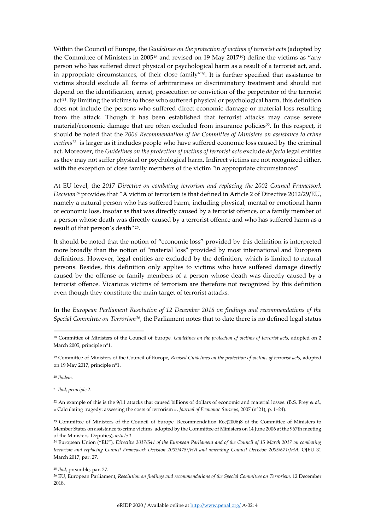Within the Council of Europe, the *Guidelines on the protection of victims of terrorist acts* (adopted by the Committee of Ministers in 2005<sup>[18](#page-3-0)</sup> and revised on [19](#page-3-1) May 2017<sup>19</sup>) define the victims as "any person who has suffered direct physical or psychological harm as a result of a terrorist act, and, in appropriate circumstances, of their close family"[20.](#page-3-2) It is further specified that assistance to victims should exclude all forms of arbitrariness or discriminatory treatment and should not depend on the identification, arrest, prosecution or conviction of the perpetrator of the terrorist act<sup>[21](#page-3-3)</sup>. By limiting the victims to those who suffered physical or psychological harm, this definition does not include the persons who suffered direct economic damage or material loss resulting from the attack. Though it has been established that terrorist attacks may cause severe material/economic damage that are often excluded from insurance policies<sup>22</sup>. In this respect, it should be noted that the *2006 Recommendation of the Committee of Ministers on assistance to crime victims*[23](#page-3-5) is larger as it includes people who have suffered economic loss caused by the criminal act. Moreover, the *Guidelines on the protection of victims of terrorist acts* exclude *de facto* legal entities as they may not suffer physical or psychological harm. Indirect victims are not recognized either, with the exception of close family members of the victim "in appropriate circumstances".

At EU level, the *2017 Directive on combating terrorism and replacing the 2002 Council Framework Decision*[24](#page-3-6) provides that "A victim of terrorism is that defined in Article 2 of Directive 2012/29/EU, namely a natural person who has suffered harm, including physical, mental or emotional harm or economic loss, insofar as that was directly caused by a terrorist offence, or a family member of a person whose death was directly caused by a terrorist offence and who has suffered harm as a result of that person's death"[25](#page-3-7).

It should be noted that the notion of "economic loss" provided by this definition is interpreted more broadly than the notion of "material loss" provided by most international and European definitions. However, legal entities are excluded by the definition, which is limited to natural persons. Besides, this definition only applies to victims who have suffered damage directly caused by the offense or family members of a person whose death was directly caused by a terrorist offence. Vicarious victims of terrorism are therefore not recognized by this definition even though they constitute the main target of terrorist attacks.

In the *European Parliament Resolution of 12 December 2018 on findings and recommendations of the Special Committee on Terrorism*[26,](#page-3-8) the Parliament notes that to date there is no defined legal status

<span id="page-3-2"></span><sup>20</sup> *Ibidem.*

<span id="page-3-3"></span><sup>21</sup> *Ibid, principle 2.*

<span id="page-3-4"></span><sup>22</sup> An example of this is the 9/11 attacks that caused billions of dollars of economic and material losses. (B.S. Frey *et al.,* « Calculating tragedy: assessing the costs of terrorism », *Journal of Economic Surveys*, 2007 (n°21), p. 1–24).

<span id="page-3-7"></span><sup>25</sup> *Ibid,* preamble, par. 27.

<span id="page-3-0"></span><sup>18</sup> Committee of Ministers of the Council of Europe*, Guidelines on the protection of victims of terrorist acts*, adopted on 2 March 2005, principle n°1.

<span id="page-3-1"></span><sup>19</sup> Committee of Ministers of the Council of Europe*, Revised Guidelines on the protection of victims of terrorist acts*, adopted on 19 May 2017, principle n°1.

<span id="page-3-5"></span><sup>23</sup> Committee of Ministers of the Council of Europe*,* Recommendation Rec(2006)8 of the Committee of Ministers to Member States on assistance to crime victims, adopted by the Committee of Ministers on 14 June 2006 at the 967th meeting of the Ministers' Deputies), *article 1.*

<span id="page-3-6"></span><sup>24</sup> European Union ("EU"), *Directive 2017/541 of the European Parliament and of the Council of 15 March 2017 on combating terrorism and replacing Council Framework Decision 2002/475/JHA and amending Council Decision 2005/671/JHA,* OJEU 31 March 2017, par. 27.

<span id="page-3-8"></span><sup>&</sup>lt;sup>26</sup> EU, European Parliament, *Resolution on findings and recommendations of the Special Committee on Terrorism*, 12 December 2018.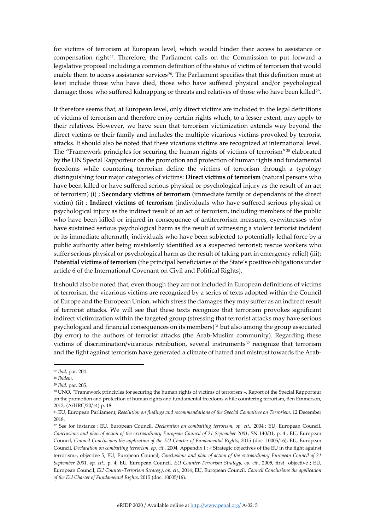for victims of terrorism at European level, which would hinder their access to assistance or compensation right<sup>[27](#page-4-0)</sup>. Therefore, the Parliament calls on the Commission to put forward a legislative proposal including a common definition of the status of victim of terrorism that would enable them to access assistance services<sup>[28](#page-4-1)</sup>. The Parliament specifies that this definition must at least include those who have died, those who have suffered physical and/or psychological damage; those who suffered kidnapping or threats and relatives of those who have been killed<sup>29</sup>.

It therefore seems that, at European level, only direct victims are included in the legal definitions of victims of terrorism and therefore enjoy certain rights which, to a lesser extent, may apply to their relatives. However, we have seen that terrorism victimization extends way beyond the direct victims or their family and includes the multiple vicarious victims provoked by terrorist attacks. It should also be noted that these vicarious victims are recognized at international level. The "Framework principles for securing the human rights of victims of terrorism"[30](#page-4-3) elaborated by the UN Special Rapporteur on the promotion and protection of human rights and fundamental freedoms while countering terrorism define the victims of terrorism through a typology distinguishing four major categories of victims: **Direct victims of terrorism** (natural persons who have been killed or have suffered serious physical or psychological injury as the result of an act of terrorism) (i) ; **Secondary victims of terrorism** (immediate family or dependants of the direct victim) (ii) ; **Indirect victims of terrorism** (individuals who have suffered serious physical or psychological injury as the indirect result of an act of terrorism, including members of the public who have been killed or injured in consequence of antiterrorism measures, eyewitnesses who have sustained serious psychological harm as the result of witnessing a violent terrorist incident or its immediate aftermath, individuals who have been subjected to potentially lethal force by a public authority after being mistakenly identified as a suspected terrorist; rescue workers who suffer serious physical or psychological harm as the result of taking part in emergency relief) (iii); **Potential victims of terrorism** (the principal beneficiaries of the State's positive obligations under article 6 of the International Covenant on Civil and Political Rights).

It should also be noted that, even though they are not included in European definitions of victims of terrorism, the vicarious victims are recognized by a series of texts adopted within the Council of Europe and the European Union, which stress the damages they may suffer as an indirect result of terrorist attacks. We will see that these texts recognize that terrorism provokes significant indirect victimization within the targeted group (stressing that terrorist attacks may have serious psychological and financial consequences on its members)[31](#page-4-4) but also among the group associated (by error) to the authors of terrorist attacks (the Arab-Muslim community). Regarding these victims of discrimination/vicarious retribution, several instruments<sup>[32](#page-4-5)</sup> recognize that terrorism and the fight against terrorism have generated a climate of hatred and mistrust towards the Arab-

<span id="page-4-0"></span><sup>27</sup> *Ibid,* par. 204.

<span id="page-4-1"></span><sup>28</sup> *Ibidem*.

<span id="page-4-2"></span><sup>29</sup> *Ibid,* par. 205.

<span id="page-4-3"></span><sup>30</sup> UNO, "Framework principles for securing the human rights of victims of terrorism », Report of the Special Rapporteur on the promotion and protection of human rights and fundamental freedoms while countering terrorism, Ben Emmerson, 2012*,* (A/HRC/20/14) p. 18.

<span id="page-4-4"></span><sup>31</sup> EU, European Parliament, *Resolution on findings and recommendations of the Special Committee on Terrorism,* 12 December 2018.

<span id="page-4-5"></span><sup>32</sup> See for instance : EU, European Council, *Declaration on combatting terrorism*, *op. cit.,* 2004 ; EU, European Council, *Conclusions and plan of action of the extraordinary European Council of 21 September 2001*, SN 140/01, p. 4 ; EU, European Council, *Council Conclusions the application of the EU Charter of Fundamental Rights*, 2015 (doc. 10005/16); EU, European Council, *Declaration on combatting terrorism*, *op. cit.,* 2004, Appendix I : « Strategic objectives of the EU in the fight against terrorism», objective 5; EU, European Council, *Conclusions and plan of action of the extraordinary European Council of 21 September 2001*, *op. cit.,* p. 4; EU, European Council, *EU Counter-Terrorism Strategy*, *op. cit.,* 2005, first objective ; EU, European Council, *EU Counter-Terrorism Strategy*, *op. cit.,* 2014; EU, European Council, *Council Conclusions the application of the EU Charter of Fundamental Rights*, 2015 (doc. 10005/16).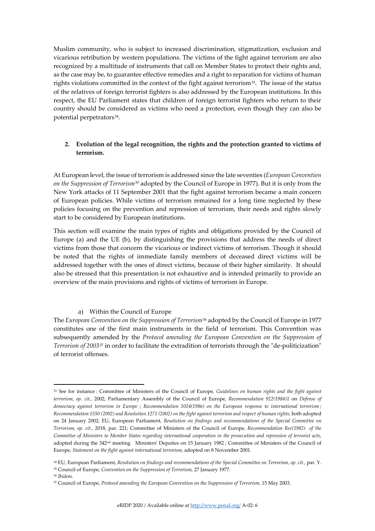Muslim community, who is subject to increased discrimination, stigmatization, exclusion and vicarious retribution by western populations. The victims of the fight against terrorism are also recognized by a multitude of instruments that call on Member States to protect their rights and, as the case may be, to guarantee effective remedies and a right to reparation for victims of human rights violations committed in the context of the fight against terrorism<sup>[33](#page-5-0)</sup>. The issue of the status of the relatives of foreign terrorist fighters is also addressed by the European institutions. In this respect, the EU Parliament states that children of foreign terrorist fighters who return to their country should be considered as victims who need a protection, even though they can also be potential perpetrators<sup>[34](#page-5-1)</sup>.

# **2. Evolution of the legal recognition, the rights and the protection granted to victims of terrorism.**

At European level, the issue of terrorism is addressed since the late seventies (*European Convention on the Suppression of Terrorism*[35](#page-5-2) adopted by the Council of Europe in 1977). But it is only from the New York attacks of 11 September 2001 that the fight against terrorism became a main concern of European policies. While victims of terrorism remained for a long time neglected by these policies focusing on the prevention and repression of terrorism, their needs and rights slowly start to be considered by European institutions.

This section will examine the main types of rights and obligations provided by the Council of Europe (a) and the UE (b), by distinguishing the provisions that address the needs of direct victims from those that concern the vicarious or indirect victims of terrorism. Though it should be noted that the rights of immediate family members of deceased direct victims will be addressed together with the ones of direct victims, because of their higher similarity. It should also be stressed that this presentation is not exhaustive and is intended primarily to provide an overview of the main provisions and rights of victims of terrorism in Europe.

### a) Within the Council of Europe

The *European Convention on the Suppression of Terrorism*[36](#page-5-3) adopted by the Council of Europe in 1977 constitutes one of the first main instruments in the field of terrorism. This Convention was subsequently amended by the *Protocol amending the European Convention on the Suppression of Terrorism of 2003*[37](#page-5-4) in order to facilitate the extradition of terrorists through the "de-politicization" of terrorist offenses.

<span id="page-5-0"></span><sup>33</sup> See for instance : Committee of Ministers of the Council of Europe*, Guidelines on human rights and the fight against terrorism, op. cit.,* 2002; Parliamentary Assembly of the Council of Europe, *Recommendation 922(1984)1* on *Defense of democracy against terrorism in Europe* ; *Recommendation 1024(1986) on the European response to international terrorism ;*  Recommendation 1550 (2002) and Resolution 1271 (2002) on the fight against terrorism and respect of human rights, both adopted on 24 January 2002; EU, European Parliament, *Resolution on findings and recommendations of the Special Committee on Terrorism, op. cit.,* 2018, par. 221; Committee of Ministers of the Council of Europe*, Recommendation Rec(1982) of the Committee of Ministers to Member States regarding international cooperation in the prosecution and repression of terrorist acts*, adopted during the 342<sup>nd</sup> meeting Ministers' Deputies on 15 January 1982 ; Committee of Ministers of the Council of Europe*, Statement on the fight against international terrorism*, adopted on 8 November 2001.

<span id="page-5-2"></span><span id="page-5-1"></span><sup>34</sup> EU, European Parliament, *Resolution on findings and recommendations of the Special Committee on Terrorism, op. cit.,* par. Y. <sup>35</sup> Council of Europe, *Convention on the Suppression of Terrorism,* 27 January 1977.

<span id="page-5-3"></span><sup>36</sup> *Ibidem.*

<span id="page-5-4"></span><sup>37</sup> Council of Europe, *Protocol amending the European Convention on the Suppression of Terrorism,* 15 May 2003.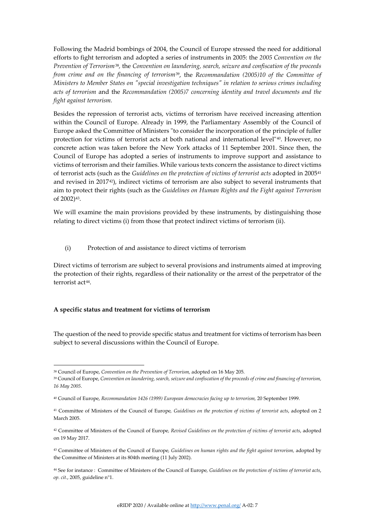Following the Madrid bombings of 2004, the Council of Europe stressed the need for additional efforts to fight terrorism and adopted a series of instruments in 2005: the *2005 Convention on the Prevention of Terrorism*[38](#page-6-0)*,* the *Convention on laundering, search, seizure and confiscation of the proceeds from crime and on the financing of terrorism*[39](#page-6-1), the *Recommandation (2005)10 of the Committee of Ministers to Member States on "special investigation techniques" in relation to serious crimes including acts of terrorism* and the *Recommandation (2005)7 concerning identity and travel documents and the fight against terrorism.* 

Besides the repression of terrorist acts, victims of terrorism have received increasing attention within the Council of Europe. Already in 1999, the Parliamentary Assembly of the Council of Europe asked the Committee of Ministers "to consider the incorporation of the principle of fuller protection for victims of terrorist acts at both national and international level"[40.](#page-6-2) However, no concrete action was taken before the New York attacks of 11 September 2001. Since then, the Council of Europe has adopted a series of instruments to improve support and assistance to victims of terrorism and their families. While various texts concern the assistance to direct victims of terrorist acts (such as the *Guidelines on the protection of victims of terrorist acts* adopted in 2005[41](#page-6-3) and revised in 2017[42\)](#page-6-4), indirect victims of terrorism are also subject to several instruments that aim to protect their rights (such as the *Guidelines on Human Rights and the Fight against Terrorism* of 2002)[43](#page-6-5).

We will examine the main provisions provided by these instruments, by distinguishing those relating to direct victims (i) from those that protect indirect victims of terrorism (ii).

(i) Protection of and assistance to direct victims of terrorism

Direct victims of terrorism are subject to several provisions and instruments aimed at improving the protection of their rights, regardless of their nationality or the arrest of the perpetrator of the terrorist act<sup>44</sup>.

# **A specific status and treatment for victims of terrorism**

The question of the need to provide specific status and treatment for victims of terrorism has been subject to several discussions within the Council of Europe.

<span id="page-6-1"></span><span id="page-6-0"></span><sup>38</sup> Council of Europe, *Convention on the Prevention of Terrorism,* adopted on 16 May 205.

<sup>39</sup> Council of Europe, *Convention on laundering, search, seizure and confiscation of the proceeds of crime and financing of terrorism, 16 May 2005*.

<span id="page-6-2"></span><sup>40</sup> Council of Europe, *Recommandation 1426 (1999) European democracies facing up to terrorism,* 20 September 1999.

<span id="page-6-3"></span><sup>41</sup> Committee of Ministers of the Council of Europe*, Guidelines on the protection of victims of terrorist acts*, adopted on 2 March 2005.

<span id="page-6-4"></span><sup>42</sup> Committee of Ministers of the Council of Europe*, Revised Guidelines on the protection of victims of terrorist acts*, adopted on 19 May 2017.

<span id="page-6-5"></span><sup>43</sup> Committee of Ministers of the Council of Europe*, Guidelines on human rights and the fight against terrorism,* adopted by the Committee of Ministers at its 804th meeting (11 July 2002).

<span id="page-6-6"></span><sup>44</sup> See for instance : Committee of Ministers of the Council of Europe*, Guidelines on the protection of victims of terrorist acts*, *op. cit.*, 2005, guideline n°1.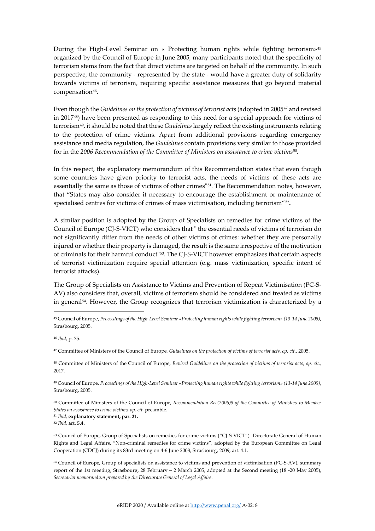During the High-Level Seminar on « Protecting human rights while fighting terrorism»[45](#page-7-0) organized by the Council of Europe in June 2005, many participants noted that the specificity of terrorism stems from the fact that direct victims are targeted on behalf of the community. In such perspective, the community - represented by the state - would have a greater duty of solidarity towards victims of terrorism, requiring specific assistance measures that go beyond material compensation<sup>46</sup>.

Even though the *Guidelines on the protection of victims of terrorist acts* (adopted in 2005[47](#page-7-2) and revised in 201[748](#page-7-3)) have been presented as responding to this need for a special approach for victims of terrorism[49,](#page-7-4) it should be noted that these *Guidelines*largely reflect the existing instruments relating to the protection of crime victims. Apart from additional provisions regarding emergency assistance and media regulation, the *Guidelines* contain provisions very similar to those provided for in the *2006 Recommendation of the Committee of Ministers on assistance to crime victims*[50](#page-7-5)*.*

In this respect, the explanatory memorandum of this Recommendation states that even though some countries have given priority to terrorist acts, the needs of victims of these acts are essentially the same as those of victims of other crimes"[51](#page-7-6)*.* The Recommendation notes, however, that "States may also consider it necessary to encourage the establishment or maintenance of specialised centres for victims of crimes of mass victimisation, including terrorism"<sup>[52](#page-7-7)</sup>.

A similar position is adopted by the Group of Specialists on remedies for crime victims of the Council of Europe (CJ-S-VICT) who considers that " the essential needs of victims of terrorism do not significantly differ from the needs of other victims of crimes: whether they are personally injured or whether their property is damaged, the result is the same irrespective of the motivation of criminals for their harmful conduct"[53](#page-7-8). The CJ-S-VICT however emphasizes that certain aspects of terrorist victimization require special attention (e.g. mass victimization, specific intent of terrorist attacks).

The Group of Specialists on Assistance to Victims and Prevention of Repeat Victimisation (PC-S-AV) also considers that, overall, victims of terrorism should be considered and treated as victims in general[54.](#page-7-9) However, the Group recognizes that terrorism victimization is characterized by a

<span id="page-7-3"></span><sup>48</sup> Committee of Ministers of the Council of Europe*, Revised Guidelines on the protection of victims of terrorist acts*, *op. cit.,* 2017.

<span id="page-7-4"></span><sup>49</sup> Council of Europe, *Proceedings of the High-Level Seminar «Protecting human rights while fighting terrorism» (13-14 June 2005)*, Strasbourg, 2005.

<span id="page-7-5"></span><sup>50</sup> Committee of Ministers of the Council of Europe*, Recommendation Rec(2006)8 of the Committee of Ministers to Member States on assistance to crime victims, op. cit*, preamble*.*

<span id="page-7-7"></span><span id="page-7-6"></span><sup>51</sup> *Ibid,* **explanatory statement, par. 21.**

<sup>52</sup> *Ibid,* **art. 5.4.**

<span id="page-7-8"></span><sup>53</sup> Council of Europe, Group of Specialists on remedies for crime victims ("CJ-S-VICT") -Directorate General of Human Rights and Legal Affairs, "Non-criminal remedies for crime victims", adopted by the European Committee on Legal Cooperation (CDCJ) during its 83rd meeting on 4-6 June 2008, Strasbourg, 2009*,* art. 4.1.

<span id="page-7-9"></span><sup>54</sup> Council of Europe, Group of specialists on assistance to victims and prevention of victimisation (PC-S-AV), summary report of the 1st meeting, Strasbourg, 28 February – 2 March 2005, adopted at the Second meeting (18 -20 May 2005), *Secretariat memorandum prepared by the Directorate General of Legal Affair*s.

<span id="page-7-0"></span><sup>45</sup> Council of Europe, *Proceedings of the High-Level Seminar «Protecting human rights while fighting terrorism» (13-14 June 2005)*, Strasbourg, 2005.

<span id="page-7-1"></span><sup>46</sup> *Ibid*, p. 75.

<span id="page-7-2"></span><sup>47</sup> Committee of Ministers of the Council of Europe*, Guidelines on the protection of victims of terrorist acts*, *op. cit.,* 2005.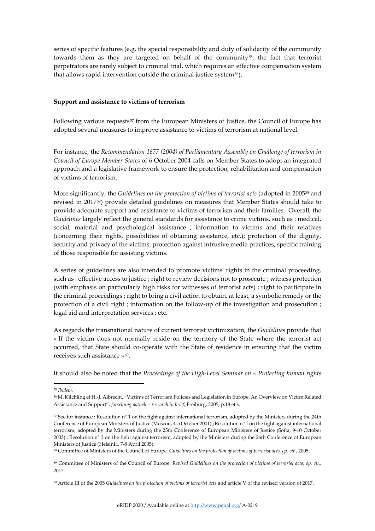series of specific features (e.g. the special responsibility and duty of solidarity of the community towards them as they are targeted on behalf of the community<sup>[55](#page-8-0)</sup>, the fact that terrorist perpetrators are rarely subject to criminal trial, which requires an effective compensation system that allows rapid intervention outside the criminal justice system<sup>56</sup>).

### **Support and assistance to victims of terrorism**

Following various requests<sup>[57](#page-8-2)</sup> from the European Ministers of Justice, the Council of Europe has adopted several measures to improve assistance to victims of terrorism at national level.

For instance, the *Recommendation 1677 (2004) of Parliamentary Assembly on Challenge of terrorism in Council of Europe Member States* of 6 October 2004 calls on Member States to adopt an integrated approach and a legislative framework to ensure the protection, rehabilitation and compensation of victims of terrorism.

More significantly, the *Guidelines on the protection of victims of terrorist acts* (adopted in 2005[58](#page-8-3) and revised in 2017[59\)](#page-8-4) provide detailed guidelines on measures that Member States should take to provide adequate support and assistance to victims of terrorism and their families. Overall, the *Guidelines* largely reflect the general standards for assistance to crime victims, such as : medical, social, material and psychological assistance ; information to victims and their relatives (concerning their rights, possibilities of obtaining assistance, etc.); protection of the dignity, security and privacy of the victims; protection against intrusive media practices; specific training of those responsible for assisting victims.

A series of guidelines are also intended to promote victims' rights in the criminal proceeding, such as : effective access to justice ; right to review decisions not to prosecute ; witness protection (with emphasis on particularly high risks for witnesses of terrorist acts) ; right to participate in the criminal proceedings ; right to bring a civil action to obtain, at least, a symbolic remedy or the protection of a civil right ; information on the follow-up of the investigation and prosecution ; legal aid and interpretation services ; etc.

As regards the transnational nature of current terrorist victimization, the *Guidelines* provide that « If the victim does not normally reside on the territory of the State where the terrorist act occurred, that State should co-operate with the State of residence in ensuring that the victim receives such assistance »<sup>[60](#page-8-5)</sup>.

It should also be noted that the *Proceedings of the High-Level Seminar on « Protecting human rights* 

<span id="page-8-0"></span><sup>55</sup> *Ibidem.*

<span id="page-8-1"></span><sup>56</sup> M. Kilchling et H.-J. Albrecht, "Victims of Terrorism Policies and Legislation in Europe. An Overview on Victim Related Assistance and Support", *forschung aktuell – research in brief*, Freiburg, 2005, p.18 et s.

<span id="page-8-2"></span><sup>57</sup> See for instance : Resolution n° 1 on the fight against international terrorism, adopted by the Ministers during the 24th Conference of European Ministers of Justice (Moscou, 4-5 October 2001) ;Resolution n° 1 on the fight against international terrorism, adopted by the Ministers during the 25th Conference of European Ministers of Justice (Sofia, 9-10 October 2003) ; Resolution n° 3 on the fight against terrorism, adopted by the Ministers during the 26th Conference of European Ministers of Justice (Helsinki, 7-8 April 2005).

<span id="page-8-3"></span><sup>58</sup> Committee of Ministers of the Council of Europe*, Guidelines on the protection of victims of terrorist acts*, *op. cit.,* 2005.

<span id="page-8-4"></span><sup>59</sup> Committee of Ministers of the Council of Europe*, Revised Guidelines on the protection of victims of terrorist acts*, *op. cit.,* 2017.

<span id="page-8-5"></span><sup>60</sup> Article III of the 2005 *Guidelines on the protection of victims of terrorist acts* and article V of the revised version of 2017.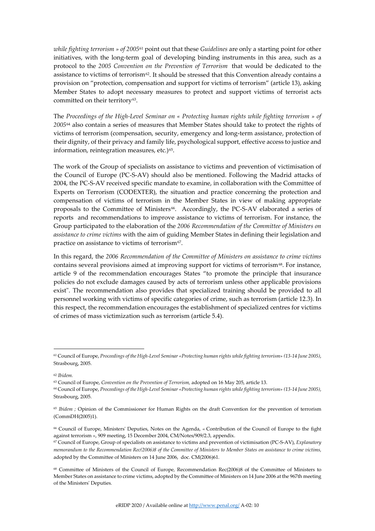*while fighting terrorism » of 2005*[61](#page-9-0) point out that these *Guidelines* are only a starting point for other initiatives, with the long-term goal of developing binding instruments in this area, such as a protocol to the *2005 Convention on the Prevention of Terrorism* that would be dedicated to the assistance to victims of terrorism<sup>[62](#page-9-1)</sup>. It should be stressed that this Convention already contains a provision on "protection, compensation and support for victims of terrorism" (article 13), asking Member States to adopt necessary measures to protect and support victims of terrorist acts committed on their territory<sup>[63](#page-9-2)</sup>.

The *Proceedings of the High-Level Seminar on « Protecting human rights while fighting terrorism » of 2005*[64](#page-9-3) also contain a series of measures that Member States should take to protect the rights of victims of terrorism (compensation, security, emergency and long-term assistance, protection of their dignity, of their privacy and family life, psychological support, effective access to justice and information, reintegration measures, etc.)<sup>65</sup>.

The work of the Group of specialists on assistance to victims and prevention of victimisation of the Council of Europe (PC-S-AV) should also be mentioned. Following the Madrid attacks of 2004, the PC-S-AV received specific mandate to examine, in collaboration with the Committee of Experts on Terrorism (CODEXTER), the situation and practice concerning the protection and compensation of victims of terrorism in the Member States in view of making appropriate proposals to the Committee of Ministers<sup>66</sup>. Accordingly, the PC-S-AV elaborated a series of reports and recommendations to improve assistance to victims of terrorism. For instance, the Group participated to the elaboration of the *2006 Recommendation of the Committee of Ministers on assistance to crime victims* with the aim of guiding Member States in defining their legislation and practice on assistance to victims of terrorism $67$ .

In this regard, the *2006 Recommendation of the Committee of Ministers on assistance to crime victims*  contains several provisions aimed at improving support for victims of terrorism<sup>[68](#page-9-7)</sup>. For instance, article 9 of the recommendation encourages States "to promote the principle that insurance policies do not exclude damages caused by acts of terrorism unless other applicable provisions exist". The recommendation also provides that specialized training should be provided to all personnel working with victims of specific categories of crime, such as terrorism (article 12.3). In this respect, the recommendation encourages the establishment of specialized centres for victims of crimes of mass victimization such as terrorism (article 5.4).

<span id="page-9-2"></span><span id="page-9-1"></span><sup>62</sup> *Ibidem.*

<span id="page-9-0"></span><sup>61</sup> Council of Europe, *Proceedings of the High-Level Seminar «Protecting human rights while fighting terrorism» (13-14 June 2005)*, Strasbourg, 2005.

<sup>63</sup> Council of Europe, *Convention on the Prevention of Terrorism,* adopted on 16 May 205, article 13.

<span id="page-9-3"></span><sup>64</sup> Council of Europe, *Proceedings of the High-Level Seminar «Protecting human rights while fighting terrorism» (13-14 June 2005)*, Strasbourg, 2005.

<span id="page-9-4"></span><sup>&</sup>lt;sup>65</sup> *Ibidem ;* Opinion of the Commissioner for Human Rights on the draft Convention for the prevention of terrorism (CommDH(2005)1).

<span id="page-9-5"></span><sup>66</sup> Council of Europe, Ministers' Deputies, Notes on the Agenda, « Contribution of the Council of Europe to the fight against terrorism », 909 meeting, 15 December 2004, CM/Notes/909/2.3, appendix.

<span id="page-9-6"></span><sup>67</sup> Council of Europe, Group of specialists on assistance to victims and prevention of victimisation (PC-S-AV), *Explanatory memorandum to the Recommendation Rec(2006)8 of the Committee of Ministers to Member States on assistance to crime victims,* adopted by the Committee of Ministers on 14 June 2006, doc. CM(2006)61.

<span id="page-9-7"></span><sup>68</sup> Committee of Ministers of the Council of Europe*,* Recommendation Rec(2006)8 of the Committee of Ministers to Member States on assistance to crime victims, adopted by the Committee of Ministers on 14 June 2006 at the 967th meeting of the Ministers' Deputies*.*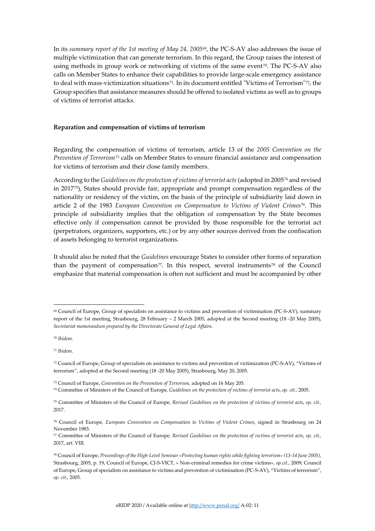In its *summary report of the 1st meeting of May 24, 2005*[69,](#page-10-0) the PC-S-AV also addresses the issue of multiple victimization that can generate terrorism. In this regard, the Group raises the interest of using methods in group work or networking of victims of the same event<sup> $70$ </sup>. The PC-S-AV also calls on Member States to enhance their capabilities to provide large-scale emergency assistance to deal with mass-victimization situations<sup>[71](#page-10-2)</sup>. In its document entitled "Victims of Terrorism"<sup>72</sup>, the Group specifies that assistance measures should be offered to isolated victims as well as to groups of victims of terrorist attacks.

## **Reparation and compensation of victims of terrorism**

Regarding the compensation of victims of terrorism, article 13 of the *2005 Convention on the Prevention of Terrorism*[73](#page-10-4) calls on Member States to ensure financial assistance and compensation for victims of terrorism and their close family members.

According to the *Guidelines on the protection of victims of terrorist acts* (adopted in 2005[74](#page-10-5) and revised in 2017[75\)](#page-10-6), States should provide fair, appropriate and prompt compensation regardless of the nationality or residency of the victim, on the basis of the principle of subsidiarity laid down in article 2 of the 1983 *European Convention on Compensation to Victims of Violent Crimes*[76](#page-10-7). This principle of subsidiarity implies that the obligation of compensation by the State becomes effective only if compensation cannot be provided by those responsible for the terrorist act (perpetrators, organizers, supporters, etc.) or by any other sources derived from the confiscation of assets belonging to terrorist organizations.

It should also be noted that the *Guidelines* encourage States to consider other forms of reparation than the payment of compensation<sup>[77](#page-10-8)</sup>. In this respect, several instruments<sup>[78](#page-10-9)</sup> of the Council emphasize that material compensation is often not sufficient and must be accompanied by other

<span id="page-10-0"></span><sup>69</sup> Council of Europe, Group of specialists on assistance to victims and prevention of victimisation (PC-S-AV), summary report of the 1st meeting, Strasbourg, 28 February – 2 March 2005, adopted at the Second meeting (18 -20 May 2005), *Secretariat memorandum prepared by the Directorate General of Legal Affair*s.

<span id="page-10-1"></span><sup>70</sup> *Ibidem.*

<span id="page-10-2"></span><sup>71</sup> *Ibidem.*

<span id="page-10-3"></span><sup>72</sup> Council of Europe, Group of specialists on assistance to victims and prevention of victimization (PC-S-AV), "Victims of terrorism", adopted at the Second meeting (18 -20 May 2005), Strasbourg, May 20, 2005.

<span id="page-10-4"></span><sup>73</sup> Council of Europe, *Convention on the Prevention of Terrorism,* adopted on 16 May 205.

<span id="page-10-5"></span><sup>74</sup> Committee of Ministers of the Council of Europe*, Guidelines on the protection of victims of terrorist acts*, *op. cit.,* 2005.

<span id="page-10-6"></span><sup>75</sup> Committee of Ministers of the Council of Europe*, Revised Guidelines on the protection of victims of terrorist acts*, *op. cit.,* 2017.

<span id="page-10-7"></span><sup>76</sup> Council of Europe*, European Convention on Compensation to Victims of Violent Crimes*, signed in Strasbourg on 24 November 1983.

<span id="page-10-8"></span><sup>77</sup> Committee of Ministers of the Council of Europe*, Revised Guidelines on the protection of victims of terrorist acts*, *op. cit.,* 2017, art. VIII.

<span id="page-10-9"></span><sup>78</sup> Council of Europe, *Proceedings of the High-Level Seminar «Protecting human rights while fighting terrorism» (13-14 June 2005)*, Strasbourg, 2005, p. 19, Council of Europe, CJ-S-VICT, « Non-criminal remedies for crime victims*», op.cit.,* 2009; Council of Europe, Group of specialists on assistance to victims and prevention of victimisation (PC-S-AV), "Victims of terrorism", *op. cit.,* 2005.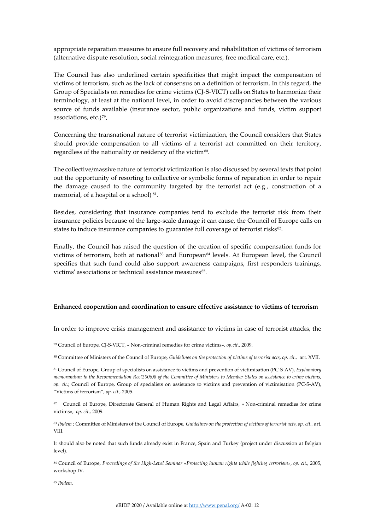appropriate reparation measures to ensure full recovery and rehabilitation of victims of terrorism (alternative dispute resolution, social reintegration measures, free medical care, etc.).

The Council has also underlined certain specificities that might impact the compensation of victims of terrorism, such as the lack of consensus on a definition of terrorism. In this regard, the Group of Specialists on remedies for crime victims (CJ-S-VICT) calls on States to harmonize their terminology, at least at the national level, in order to avoid discrepancies between the various source of funds available (insurance sector, public organizations and funds, victim support associations, etc.)<sup>79</sup>.

Concerning the transnational nature of terrorist victimization, the Council considers that States should provide compensation to all victims of a terrorist act committed on their territory, regardless of the nationality or residency of the victim<sup>[80](#page-11-1)</sup>.

The collective/massive nature of terrorist victimization is also discussed by several texts that point out the opportunity of resorting to collective or symbolic forms of reparation in order to repair the damage caused to the community targeted by the terrorist act (e.g., construction of a memorial, of a hospital or a school)<sup>81</sup>.

Besides, considering that insurance companies tend to exclude the terrorist risk from their insurance policies because of the large-scale damage it can cause, the Council of Europe calls on states to induce insurance companies to guarantee full coverage of terrorist risks<sup>82</sup>.

Finally, the Council has raised the question of the creation of specific compensation funds for victims of terrorism, both at national<sup>[83](#page-11-4)</sup> and European<sup>[84](#page-11-5)</sup> levels. At European level, the Council specifies that such fund could also support awareness campaigns, first responders trainings, victims' associations or technical assistance measures<sup>[85](#page-11-6)</sup>.

# **Enhanced cooperation and coordination to ensure effective assistance to victims of terrorism**

In order to improve crisis management and assistance to victims in case of terrorist attacks, the

<span id="page-11-6"></span><sup>85</sup> *Ibidem.*

<span id="page-11-0"></span><sup>79</sup> Council of Europe, CJ-S-VICT, « Non-criminal remedies for crime victims*», op.cit.,* 2009.

<span id="page-11-1"></span><sup>80</sup> Committee of Ministers of the Council of Europe*, Guidelines on the protection of victims of terrorist acts*, *op. cit.,* art. XVII.

<span id="page-11-2"></span><sup>81</sup> Council of Europe, Group of specialists on assistance to victims and prevention of victimisation (PC-S-AV), *Explanatory memorandum to the Recommendation Rec(2006)8 of the Committee of Ministers to Member States on assistance to crime victims, op. cit.*; Council of Europe, Group of specialists on assistance to victims and prevention of victimisation (PC-S-AV), "Victims of terrorism", *op. cit.,* 2005.

<span id="page-11-3"></span><sup>82</sup> Council of Europe, Directorate General of Human Rights and Legal Affairs, « Non-criminal remedies for crime victims*», op. cit.,* 2009.

<span id="page-11-4"></span><sup>83</sup> *Ibidem ;* Committee of Ministers of the Council of Europe*, Guidelines on the protection of victims of terrorist acts*, *op. cit.,* art. VIII.

It should also be noted that such funds already exist in France, Spain and Turkey (project under discussion at Belgian level).

<span id="page-11-5"></span><sup>84</sup> Council of Europe, *Proceedings of the High-Level Seminar «Protecting human rights while fighting terrorism»*, *op. cit.,* 2005, workshop IV.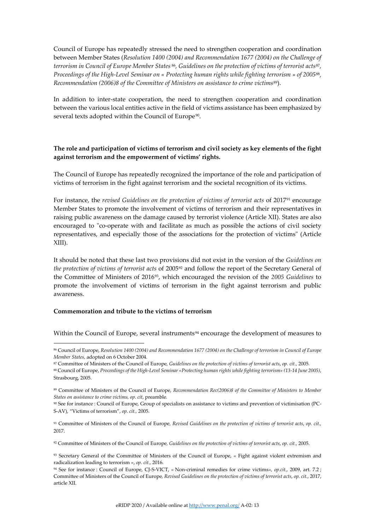Council of Europe has repeatedly stressed the need to strengthen cooperation and coordination between Member States (*Resolution 1400 (2004) and Recommendation 1677 (2004) on the Challenge of terrorism in Council of Europe Member States* [86](#page-12-0)*, Guidelines on the protection of victims of terrorist acts*[87](#page-12-1)*, Proceedings of the High-Level Seminar on « Protecting human rights while fighting terrorism » of 2005*[88](#page-12-2)*, Recommendation (2006)8 of the Committee of Ministers on assistance to crime victims*[89](#page-12-3)).

In addition to inter-state cooperation, the need to strengthen cooperation and coordination between the various local entities active in the field of victims assistance has been emphasized by several texts adopted within the Council of Europe<sup>90</sup>.

# **The role and participation of victims of terrorism and civil society as key elements of the fight against terrorism and the empowerment of victims' rights.**

The Council of Europe has repeatedly recognized the importance of the role and participation of victims of terrorism in the fight against terrorism and the societal recognition of its victims.

For instance, the *revised Guidelines on the protection of victims of terrorist acts* of 2017[91](#page-12-5) encourage Member States to promote the involvement of victims of terrorism and their representatives in raising public awareness on the damage caused by terrorist violence (Article XII). States are also encouraged to "co-operate with and facilitate as much as possible the actions of civil society representatives, and especially those of the associations for the protection of victims" (Article XIII).

It should be noted that these last two provisions did not exist in the version of the *Guidelines on the protection of victims of terrorist acts* of 2005[92](#page-12-6) and follow the report of the Secretary General of the Committee of Ministers of 2016[93,](#page-12-7) which encouraged the revision of the *2005 Guidelines* to promote the involvement of victims of terrorism in the fight against terrorism and public awareness.

### **Commemoration and tribute to the victims of terrorism**

Within the Council of Europe, several instruments<sup>[94](#page-12-8)</sup> encourage the development of measures to

<sup>87</sup> Committee of Ministers of the Council of Europe*, Guidelines on the protection of victims of terrorist acts*, *op. cit.,* 2005*.*

<span id="page-12-6"></span><sup>92</sup> Committee of Ministers of the Council of Europe*, Guidelines on the protection of victims of terrorist acts*, *op. cit.,* 2005.

<span id="page-12-0"></span><sup>86</sup> Council of Europe, *Resolution 1400 (2004) and Recommendation 1677 (2004) on the Challenge of terrorism in Council of Europe Member States,* adopted on 6 October 2004.

<span id="page-12-2"></span><span id="page-12-1"></span><sup>88</sup> Council of Europe, *Proceedings of the High-Level Seminar «Protecting human rights while fighting terrorism» (13-14 June 2005)*, Strasbourg, 2005.

<span id="page-12-3"></span><sup>89</sup> Committee of Ministers of the Council of Europe*, Recommendation Rec(2006)8 of the Committee of Ministers to Member States on assistance to crime victims, op. cit*, preamble*.*

<span id="page-12-4"></span><sup>90</sup> See for instance : Council of Europe, Group of specialists on assistance to victims and prevention of victimisation (PC-S-AV), "Victims of terrorism", *op. cit.,* 2005.

<span id="page-12-5"></span><sup>91</sup> Committee of Ministers of the Council of Europe*, Revised Guidelines on the protection of victims of terrorist acts*, *op. cit.,* 2017.

<span id="page-12-7"></span><sup>93</sup> Secretary General of the Committee of Ministers of the Council of Europe, « Fight against violent extremism and radicalization leading to terrorism », *op. cit.,* 2016.

<span id="page-12-8"></span><sup>94</sup> See for instance : Council of Europe, CJ-S-VICT, « Non-criminal remedies for crime victims*», op.cit.,* 2009, art. 7.2 ; Committee of Ministers of the Council of Europe*, Revised Guidelines on the protection of victims of terrorist acts*, *op. cit.,* 2017, article XII.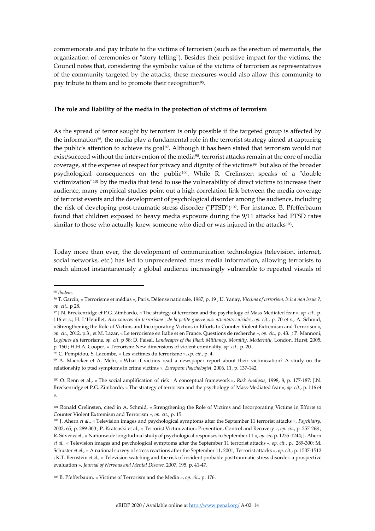commemorate and pay tribute to the victims of terrorism (such as the erection of memorials, the organization of ceremonies or "story-telling"). Besides their positive impact for the victims, the Council notes that, considering the symbolic value of the victims of terrorism as representatives of the community targeted by the attacks, these measures would also allow this community to pay tribute to them and to promote their recognition<sup>95</sup>.

#### **The role and liability of the media in the protection of victims of terrorism**

As the spread of terror sought by terrorism is only possible if the targeted group is affected by the information<sup>96</sup>, the media play a fundamental role in the terrorist strategy aimed at capturing the public's attention to achieve its goal<sup>[97](#page-13-2)</sup>. Although it has been stated that terrorism would not exist/succeed without the intervention of the media<sup>[98](#page-13-3)</sup>, terrorist attacks remain at the core of media coverage, at the expense of respect for privacy and dignity of the victims<sup>99</sup> but also of the broader psychological consequences on the public[100.](#page-13-5) While R. Crelinsten speaks of a "double victimization"[101](#page-13-6) by the media that tend to use the vulnerability of direct victims to increase their audience, many empirical studies point out a high correlation link between the media coverage of terrorist events and the development of psychological disorder among the audience, including the risk of developing post-traumatic stress disorder ("PTSD")[102.](#page-13-7) For instance, B. Pfefferbaum found that children exposed to heavy media exposure during the 9/11 attacks had PTSD rates similar to those who actually knew someone who died or was injured in the attacks $103$ .

Today more than ever, the development of communication technologies (television, internet, social networks, etc.) has led to unprecedented mass media information, allowing terrorists to reach almost instantaneously a global audience increasingly vulnerable to repeated visuals of

98 C. Pompidou, S. Lacombe, *«* Les victimes du terrorisme », *op. cit.,* p. 4.

<span id="page-13-8"></span><sup>103</sup> B. Pfefferbaum, « Victims of Terrorism and the Media », *op. cit.,* p. 176.

<span id="page-13-0"></span><sup>95</sup> *Ibidem.*

<span id="page-13-1"></span><sup>96</sup> T. Garcin, « Terrorisme et médias », Paris, Défense nationale, 1987, p. 19 ; U. Yanay, *Victims of terrorism, is it a non issue ?, op. cit.*, p 28.

<span id="page-13-2"></span><sup>97</sup> J.N. Breckenridge et P.G. Zimbardo, « The strategy of terrorism and the psychology of Mass-Mediated fear », *op. cit.*, p. 116 et s.; H. L'Heuillet, *Aux sources du terrorisme : de la petite guerre aux attentats-suicides*, *op. cit.,* p. 70 et s.; A. Schmid, « Strengthening the Role of Victims and Incorporating Victims in Efforts to Counter Violent Extremism and Terrorism », *op. cit.*, 2012, p.3 ; et M. Lazar, « Le terrorisme en Italie et en France. Questions de recherche », *op. cit.,* p. 43. *;* P. Mannoni, *Logiques du* terrorisme, *op. cit*, p 58; D. Faisal, *Landscapes of the Jihad: Militancy, Morality, Modernity*, London, Hurst, 2005, p. 160 ; H.H.A. Cooper, « Terrorism: New dimensions of violent criminality, *op. cit.,* p. 20.

<span id="page-13-4"></span><span id="page-13-3"></span><sup>99</sup> A. Maercker et A. Mehr, « What if victims read a newspaper report about their victimization? A study on the relationship to ptsd symptoms in crime victims *», European Psychologist*, 2006, 11, p. 137-142.

<span id="page-13-5"></span><sup>100</sup> O. Renn et al., « The social amplification of risk : A conceptual framework », *Risk Analysis,* 1998, 8, p. 177-187; J.N. Breckenridge et P.G. Zimbardo, « The strategy of terrorism and the psychology of Mass-Mediated fear », *op. cit.*, p. 116 et s.

<span id="page-13-6"></span><sup>101</sup> Ronald Crelinsten, cited in A. Schmid, « Strengthening the Role of Victims and Incorporating Victims in Efforts to Counter Violent Extremism and Terrorism », *op. cit.*, p. 15.

<span id="page-13-7"></span><sup>102</sup> J. Ahern *et al*., « Television images and psychological symptoms after the September 11 terrorist attacks », *Psychiatry*, 2002, 65, p. 289-300 ; P. Kratcoski et al., « Terrorist Victimization: Prevention, Control and Recovery », *op. cit.*, p. 257-268 ; R. Silver *et al.,* « Nationwide longitudinal study of psychological responses to September 11 », *op. cit*, p. 1235-1244; J. Ahern *et al.,* « Television images and psychological symptoms after the September 11 terrorist attacks », *op. cit.,* p. 289-300; M. Schuster *et al.,* « A national survey of stress reactions after the September 11, 2001, Terrorist attacks », *op. cit.,* p. 1507-1512 ; K.T. Bernstein *et al.,* « Television watching and the risk of incident probable posttraumatic stress disorder: a prospective evaluation », *Journal of Nervous and Mental Disease*, 2007, 195, p. 41-47.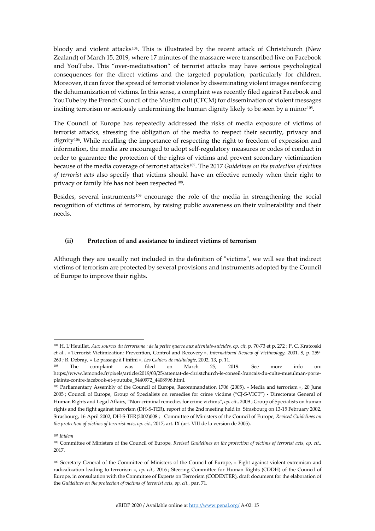bloody and violent attacks[104.](#page-14-0) This is illustrated by the recent attack of Christchurch (New Zealand) of March 15, 2019, where 17 minutes of the massacre were transcribed live on Facebook and YouTube. This "over-mediatisation" of terrorist attacks may have serious psychological consequences for the direct victims and the targeted population, particularly for children. Moreover, it can favor the spread of terrorist violence by disseminating violent images reinforcing the dehumanization of victims. In this sense, a complaint was recently filed against Facebook and YouTube by the French Council of the Muslim cult (CFCM) for dissemination of violent messages inciting terrorism or seriously undermining the human dignity likely to be seen by a minor<sup>105</sup>.

The Council of Europe has repeatedly addressed the risks of media exposure of victims of terrorist attacks, stressing the obligation of the media to respect their security, privacy and dignity[106.](#page-14-2) While recalling the importance of respecting the right to freedom of expression and information, the media are encouraged to adopt self-regulatory measures or codes of conduct in order to guarantee the protection of the rights of victims and prevent secondary victimization because of the media coverage of terrorist attacks[107](#page-14-3). The 2017 *Guidelines on the protection of victims of terrorist acts* also specify that victims should have an effective remedy when their right to privacy or family life has not been respected<sup>[108](#page-14-4)</sup>.

Besides, several instruments[109](#page-14-5) encourage the role of the media in strengthening the social recognition of victims of terrorism, by raising public awareness on their vulnerability and their needs.

# **(ii) Protection of and assistance to indirect victims of terrorism**

Although they are usually not included in the definition of "victims", we will see that indirect victims of terrorism are protected by several provisions and instruments adopted by the Council of Europe to improve their rights.

<span id="page-14-0"></span><sup>104</sup> H. L'Heuillet, *Aux sources du terrorisme : de la petite guerre aux attentats-suicides*, *op. cit*, p. 70-73 et p. 272 ; P. C. Kratcoski et al., « Terrorist Victimization: Prevention, Control and Recovery », *International Review of Victimology,* 2001, 8, p. 259- 260 ; R. Debray, « Le passage à l'infini », *Les Cahiers de médiologie*, 2002, 13, p. 11.

<span id="page-14-1"></span><sup>105</sup> The complaint was filed on March 25, 2019. See more info on: https://www.lemonde.fr/pixels/article/2019/03/25/attentat-de-christchurch-le-conseil-francais-du-culte-musulman-porteplainte-contre-facebook-et-youtube\_5440972\_4408996.html.

<span id="page-14-2"></span><sup>106</sup> Parliamentary Assembly of the Council of Europe, Recommandation 1706 (2005), « Media and terrorism », 20 June 2005 ; Council of Europe, Group of Specialists on remedies for crime victims ("CJ-S-VICT") - Directorate General of Human Rights and Legal Affairs, "Non-criminal remedies for crime victims", *op. cit.,* 2009 ; Group of Specialists on human rights and the fight against terrorism (DH-S-TER), report of the 2nd meeting held in Strasbourg on 13-15 February 2002, Strasbourg, 16 April 2002, DH-S-TER(2002)008 ; Committee of Ministers of the Council of Europe*, Revised Guidelines on the protection of victims of terrorist acts*, *op. cit.,* 2017, art. IX (art. VIII de la version de 2005).

<span id="page-14-3"></span><sup>107</sup> *Ibidem*

<span id="page-14-4"></span><sup>108</sup> Committee of Ministers of the Council of Europe*, Revised Guidelines on the protection of victims of terrorist acts*, *op. cit.,* 2017.

<span id="page-14-5"></span><sup>109</sup> Secretary General of the Committee of Ministers of the Council of Europe, « Fight against violent extremism and radicalization leading to terrorism », *op. cit.,* 2016 ; Steering Committee for Human Rights (CDDH) of the Council of Europe, in consultation with the Committee of Experts on Terrorism (CODEXTER), draft document for the elaboration of the *Guidelines on the protection of victims of terrorist acts*, *op. cit.,* par. 71.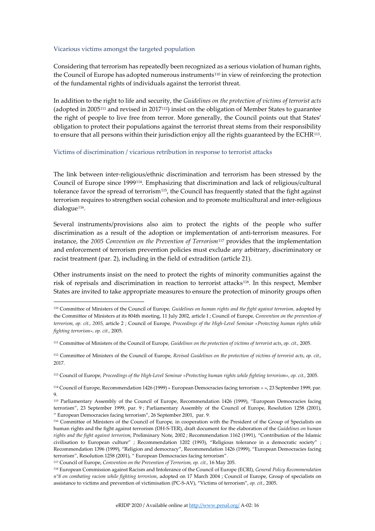#### Vicarious victims amongst the targeted population

Considering that terrorism has repeatedly been recognized as a serious violation of human rights, the Council of Europe has adopted numerous instruments<sup>[110](#page-15-0)</sup> in view of reinforcing the protection of the fundamental rights of individuals against the terrorist threat.

In addition to the right to life and security, the *Guidelines on the protection of victims of terrorist acts* (adopted in 2005[111](#page-15-1) and revised in 2017[112](#page-15-2)) insist on the obligation of Member States to guarantee the right of people to live free from terror. More generally, the Council points out that States' obligation to protect their populations against the terrorist threat stems from their responsibility to ensure that all persons within their jurisdiction enjoy all the rights guaranteed by the ECHR $113$ .

#### Victims of discrimination / vicarious retribution in response to terrorist attacks

The link between inter-religious/ethnic discrimination and terrorism has been stressed by the Council of Europe since 1999[114](#page-15-4). Emphasizing that discrimination and lack of religious/cultural tolerance favor the spread of terrorism<sup>[115](#page-15-5)</sup>, the Council has frequently stated that the fight against terrorism requires to strengthen social cohesion and to promote multicultural and inter-religious dialogue<sup>[116](#page-15-6)</sup>.

Several instruments/provisions also aim to protect the rights of the people who suffer discrimination as a result of the adoption or implementation of anti-terrorism measures. For instance, the *2005 Convention on the Prevention of Terrorism*[117](#page-15-7) provides that the implementation and enforcement of terrorism prevention policies must exclude any arbitrary, discriminatory or racist treatment (par. 2), including in the field of extradition (article 21).

Other instruments insist on the need to protect the rights of minority communities against the risk of reprisals and discrimination in reaction to terrorist attacks[118](#page-15-8). In this respect, Member States are invited to take appropriate measures to ensure the protection of minority groups often

<span id="page-15-3"></span><sup>113</sup> Council of Europe*, Proceedings of the High-Level Seminar «Protecting human rights while fighting terrorism», op. cit.,* 2005.

<span id="page-15-4"></span><sup>114</sup> Council of Europe, Recommendation 1426 (1999) « European Democracies facing terrorism » », 23 September 1999, par. 9.

<span id="page-15-0"></span><sup>110</sup> Committee of Ministers of the Council of Europe*, Guidelines on human rights and the fight against terrorism,* adopted by the Committee of Ministers at its 804th meeting, 11 July 2002, article I ; Council of Europe*, Convention on the prevention of terrorism, op. cit., 2005,* article 2 ; Council of Europe*, Proceedings of the High-Level Seminar «Protecting human rights while fighting terrorism», op. cit.,* 2005.

<span id="page-15-1"></span><sup>111</sup> Committee of Ministers of the Council of Europe*, Guidelines on the protection of victims of terrorist acts*, *op. cit.,* 2005.

<span id="page-15-2"></span><sup>112</sup> Committee of Ministers of the Council of Europe*, Revised Guidelines on the protection of victims of terrorist acts*, *op. cit.,* 2017.

<span id="page-15-5"></span><sup>115</sup> Parliamentary Assembly of the Council of Europe, Recommendation 1426 (1999), "European Democracies facing terrorism", 23 September 1999, par. 9 ; Parliamentary Assembly of the Council of Europe, Resolution 1258 (2001), " European Democracies facing terrorism", 26 September 2001, par. 9.

<span id="page-15-6"></span><sup>116</sup> Committee of Ministers of the Council of Europe*,* in cooperation with the President of the Group of Specialists on human rights and the fight against terrorism (DH-S-TER), draft document for the elaboration of the *Guidelines on human rights and the fight against terrorism*, Preliminary Note, 2002 ; Recommendation 1162 (1991), "Contribution of the Islamic civilisation to European culture" ; Recommendation 1202 (1993), "Religious tolerance in a democratic society" ; Recommendation 1396 (1999), "Religion and democracy", Recommendation 1426 (1999), "European Democracies facing terrorism", Resolution 1258 (2001), " European Democracies facing terrorism".

<span id="page-15-7"></span><sup>117</sup> Council of Europe, *Convention on the Prevention of Terrorism, op. cit.,* 16 May 205.

<span id="page-15-8"></span><sup>118</sup> European Commission against Racism and Intolerance of the Council of Europe (ECRI), *General Policy Recommendation n°8 on combating racism while fighting terrorism*, adopted on 17 March 2004 ; Council of Europe, Group of specialists on assistance to victims and prevention of victimisation (PC-S-AV), "Victims of terrorism", *op. cit.,* 2005.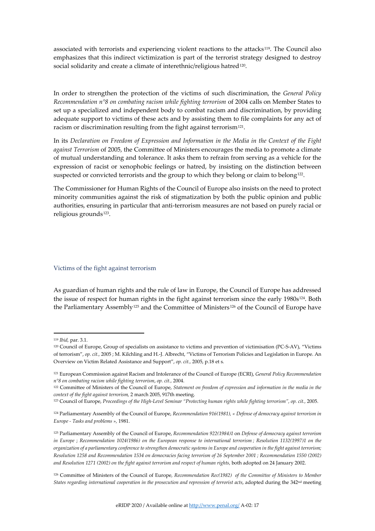associated with terrorists and experiencing violent reactions to the attacks<sup>119</sup>. The Council also emphasizes that this indirect victimization is part of the terrorist strategy designed to destroy social solidarity and create a climate of interethnic/religious hatred<sup>120</sup>.

In order to strengthen the protection of the victims of such discrimination, the *General Policy Recommendation n°8 on combating racism while fighting terrorism* of 2004 calls on Member States to set up a specialized and independent body to combat racism and discrimination, by providing adequate support to victims of these acts and by assisting them to file complaints for any act of racism or discrimination resulting from the fight against terrorism<sup>121</sup>.

In its *Declaration on Freedom of Expression and Information in the Media in the Context of the Fight against Terrorism* of 2005, the Committee of Ministers encourages the media to promote a climate of mutual understanding and tolerance. It asks them to refrain from serving as a vehicle for the expression of racist or xenophobic feelings or hatred, by insisting on the distinction between suspected or convicted terrorists and the group to which they belong or claim to belong<sup>[122](#page-16-3)</sup>.

The Commissioner for Human Rights of the Council of Europe also insists on the need to protect minority communities against the risk of stigmatization by both the public opinion and public authorities, ensuring in particular that anti-terrorism measures are not based on purely racial or religious grounds<sup>[123](#page-16-4)</sup>.

#### Victims of the fight against terrorism

As guardian of human rights and the rule of law in Europe, the Council of Europe has addressed the issue of respect for human rights in the fight against terrorism since the early 1980s<sup>[124](#page-16-5)</sup>. Both the Parliamentary Assembly<sup>[125](#page-16-6)</sup> and the Committee of Ministers<sup>[126](#page-16-7)</sup> of the Council of Europe have

<sup>119</sup> *Ibid,* par. 3.1.

<span id="page-16-1"></span><span id="page-16-0"></span><sup>120</sup> Council of Europe, Group of specialists on assistance to victims and prevention of victimisation (PC-S-AV), "Victims of terrorism", *op. cit.,* 2005 ; M. Kilchling and H.-J. Albrecht, "Victims of Terrorism Policies and Legislation in Europe. An Overview on Victim Related Assistance and Support", *op. cit.,* 2005, p.18 et s.

<span id="page-16-2"></span><sup>121</sup> European Commission against Racism and Intolerance of the Council of Europe (ECRI), *General Policy Recommendation n°8 on combating racism while fighting terrorism*, *op. cit.,* 2004.

<span id="page-16-3"></span><sup>&</sup>lt;sup>122</sup> Committee of Ministers of the Council of Europe, Statement on freedom of expression and information in the media in the *context of the fight against terrorism,* 2 march 2005, 917th meeting.

<span id="page-16-4"></span><sup>123</sup> Council of Europe, *Proceedings of the High-Level Seminar "Protecting human rights while fighting terrorism", op. cit.,* 2005.

<span id="page-16-5"></span><sup>124</sup> Parliamentary Assembly of the Council of Europe, *Recommendation 916(1981), « Defense of democracy against terrorism in Europe - Tasks and problems »,* 1981.

<span id="page-16-6"></span><sup>125</sup> Parliamentary Assembly of the Council of Europe, *Recommendation 922(1984)1* on *Defense of democracy against terrorism in Europe* ; *Recommendation 1024(1986) on the European response to international terrorism ; Resolution 1132(1997)1 on the organization of a parliamentary conference to strengthen democratic systems in Europe and cooperation in the fight against terrorism; Resolution 1258 and Recommendation 1534 on democracies facing terrorism of 26 September 2001 ; Recommendation 1550 (2002) and Resolution 1271 (2002) on the fight against terrorism and respect of human rights,* both adopted on 24 January 2002.

<span id="page-16-7"></span><sup>126</sup> Committee of Ministers of the Council of Europe*, Recommendation Rec(1982) of the Committee of Ministers to Member States regarding international cooperation in the prosecution and repression of terrorist acts*, adopted during the 342nd meeting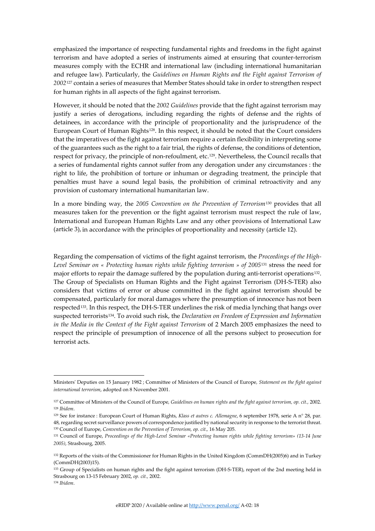emphasized the importance of respecting fundamental rights and freedoms in the fight against terrorism and have adopted a series of instruments aimed at ensuring that counter-terrorism measures comply with the ECHR and international law (including international humanitarian and refugee law). Particularly, the *Guidelines on Human Rights and the Fight against Terrorism of 2002*[127](#page-17-0) contain a series of measures that Member States should take in order to strengthen respect for human rights in all aspects of the fight against terrorism.

However, it should be noted that the *2002 Guidelines* provide that the fight against terrorism may justify a series of derogations, including regarding the rights of defense and the rights of detainees, in accordance with the principle of proportionality and the jurisprudence of the European Court of Human Rights<sup>[128](#page-17-1)</sup>. In this respect, it should be noted that the Court considers that the imperatives of the fight against terrorism require a certain flexibility in interpreting some of the guarantees such as the right to a fair trial, the rights of defense, the conditions of detention, respect for privacy, the principle of non-refoulment, etc.[129](#page-17-2). Nevertheless, the Council recalls that a series of fundamental rights cannot suffer from any derogation under any circumstances : the right to life, the prohibition of torture or inhuman or degrading treatment, the principle that penalties must have a sound legal basis, the prohibition of criminal retroactivity and any provision of customary international humanitarian law.

In a more binding way, the *2005 Convention on the Prevention of Terrorism*[130](#page-17-3) provides that all measures taken for the prevention or the fight against terrorism must respect the rule of law, International and European Human Rights Law and any other provisions of International Law (article 3), in accordance with the principles of proportionality and necessity (article 12).

Regarding the compensation of victims of the fight against terrorism, the *Proceedings of the High-Level Seminar on « Protecting human rights while fighting terrorism » of 2005*[131](#page-17-4) stress the need for major efforts to repair the damage suffered by the population during anti-terrorist operations<sup>132</sup>. The Group of Specialists on Human Rights and the Fight against Terrorism (DH-S-TER) also considers that victims of error or abuse committed in the fight against terrorism should be compensated, particularly for moral damages where the presumption of innocence has not been respected[133.](#page-17-6) In this respect, the DH-S-TER underlines the risk of media lynching that hangs over suspected terrorists[134.](#page-17-7) To avoid such risk, the *Declaration on Freedom of Expression and Information in the Media in the Context of the Fight against Terrorism of 2 March 2005 emphasizes the need to* respect the principle of presumption of innocence of all the persons subject to prosecution for terrorist acts.

Ministers' Deputies on 15 January 1982 ; Committee of Ministers of the Council of Europe*, Statement on the fight against international terrorism*, adopted on 8 November 2001.

<span id="page-17-1"></span><span id="page-17-0"></span><sup>127</sup> Committee of Ministers of the Council of Europe*, Guidelines on human rights and the fight against terrorism, op. cit.,* 2002. <sup>128</sup> *Ibidem*.

<span id="page-17-2"></span><sup>129</sup> See for instance : European Court of Human Rights, *Klass et autres c. Allemagne*, 6 september 1978, serie A n° 28, par. 48, regarding secret surveillance powers of correspondence justified by national security in response to the terrorist threat. <sup>130</sup> Council of Europe, *Convention on the Prevention of Terrorism, op. cit.,* 16 May 205.

<span id="page-17-4"></span><span id="page-17-3"></span><sup>131</sup> Council of Europe, *Proceedings of the High-Level Seminar «Protecting human rights while fighting terrorism» (13-14 June 2005)*, Strasbourg, 2005.

<span id="page-17-5"></span><sup>132</sup> Reports of the visits of the Commissioner for Human Rights in the United Kingdom (CommDH(2005)6) and in Turkey (CommDH(2003)15).

<span id="page-17-7"></span><span id="page-17-6"></span><sup>133</sup> Group of Specialists on human rights and the fight against terrorism (DH-S-TER), report of the 2nd meeting held in Strasbourg on 13-15 February 2002, *op. cit.,* 2002. <sup>134</sup> *Ibidem*.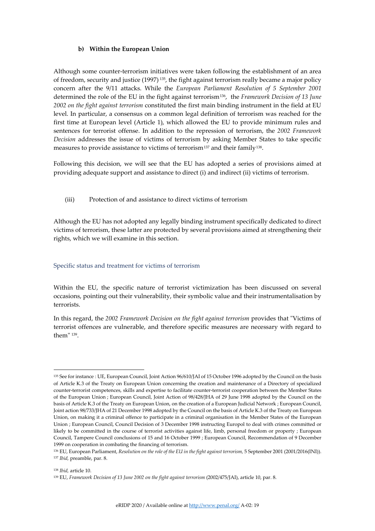## **b) Within the European Union**

Although some counter-terrorism initiatives were taken following the establishment of an area of freedom, security and justice (1997) [135,](#page-18-0) the fight against terrorism really became a major policy concern after the 9/11 attacks. While the *European Parliament Resolution of 5 September 2001* determined the role of the EU in the fight against terrorism[136](#page-18-1), the *Framework Decision of 13 June 2002 on the fight against terrorism* constituted the first main binding instrument in the field at EU level. In particular, a consensus on a common legal definition of terrorism was reached for the first time at European level (Article 1), which allowed the EU to provide minimum rules and sentences for terrorist offense. In addition to the repression of terrorism, the *2002 Framework Decision* addresses the issue of victims of terrorism by asking Member States to take specific measures to provide assistance to victims of terrorism<sup>[137](#page-18-2)</sup> and their family<sup>138</sup>.

Following this decision, we will see that the EU has adopted a series of provisions aimed at providing adequate support and assistance to direct (i) and indirect (ii) victims of terrorism.

(iii) Protection of and assistance to direct victims of terrorism

Although the EU has not adopted any legally binding instrument specifically dedicated to direct victims of terrorism, these latter are protected by several provisions aimed at strengthening their rights, which we will examine in this section.

### Specific status and treatment for victims of terrorism

Within the EU, the specific nature of terrorist victimization has been discussed on several occasions, pointing out their vulnerability, their symbolic value and their instrumentalisation by terrorists.

In this regard, the *2002 Framework Decision on the fight against terrorism* provides that "Victims of terrorist offences are vulnerable, and therefore specific measures are necessary with regard to them" [139.](#page-18-4)

<span id="page-18-3"></span><sup>138</sup> *Ibid,* article 10.

<span id="page-18-0"></span><sup>135</sup> See for instance : UE, European Council, Joint Action 96/610/JAI of 15 October 1996 adopted by the Council on the basis of Article K.3 of the Treaty on European Union concerning the creation and maintenance of a Directory of specialized counter-terrorist competences, skills and expertise to facilitate counter-terrorist cooperation between the Member States of the European Union ; European Council, Joint Action of 98/428/JHA of 29 June 1998 adopted by the Council on the basis of Article K.3 of the Treaty on European Union, on the creation of a European Judicial Network ; European Council, Joint action 98/733/JHA of 21 December 1998 adopted by the Council on the basis of Article K.3 of the Treaty on European Union, on making it a criminal offence to participate in a criminal organisation in the Member States of the European Union ; European Council, Council Decision of 3 December 1998 instructing Europol to deal with crimes committed or likely to be committed in the course of terrorist activities against life, limb, personal freedom or property ; European Council, Tampere Council conclusions of 15 and 16 October 1999 ; European Council, Recommendation of 9 December 1999 on cooperation in combating the financing of terrorism.

<span id="page-18-2"></span><span id="page-18-1"></span><sup>136</sup> EU, European Parliament, *Resolution on the role of the EU in the fight against terrorism,* 5 September 2001 (2001/2016(INI)). <sup>137</sup> *Ibid,* preamble, par. 8.

<span id="page-18-4"></span><sup>139</sup> EU, *Framework Decision of 13 June 2002 on the fight against terrorism* (2002/475/JAI), article 10, par. 8.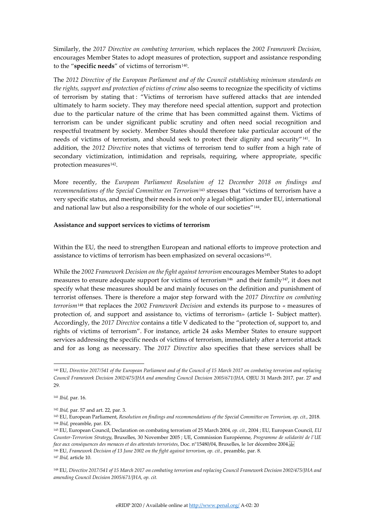Similarly, the *2017 Directive on combating terrorism,* which replaces the *2002 Framework Decision,*  encourages Member States to adopt measures of protection, support and assistance responding to the "specific needs" of victims of terrorism<sup>[140](#page-19-0)</sup>.

The *2012 Directive of the European Parliament and of the Council establishing minimum standards on the rights, support and protection of victims of crime* also seems to recognize the specificity of victims of terrorism by stating that : "Victims of terrorism have suffered attacks that are intended ultimately to harm society. They may therefore need special attention, support and protection due to the particular nature of the crime that has been committed against them. Victims of terrorism can be under significant public scrutiny and often need social recognition and respectful treatment by society. Member States should therefore take particular account of the needs of victims of terrorism, and should seek to protect their dignity and security"[141](#page-19-1). In addition, the *2012 Directive* notes that victims of terrorism tend to suffer from a high rate of secondary victimization, intimidation and reprisals, requiring, where appropriate, specific protection measures<sup>[142](#page-19-2)</sup>.

More recently, the *European Parliament Resolution of 12 December 2018 on findings and recommendations of the Special Committee on Terrorism*[143](#page-19-3) stresses that "victims of terrorism have a very specific status, and meeting their needs is not only a legal obligation under EU, international and national law but also a responsibility for the whole of our societies"<sup>[144](#page-19-4)</sup>.

### **Assistance and support services to victims of terrorism**

Within the EU, the need to strengthen European and national efforts to improve protection and assistance to victims of terrorism has been emphasized on several occasions<sup>145</sup>.

While the *2002 Framework Decision on the fight against terrorism* encourages Member States to adopt measures to ensure adequate support for victims of terrorism<sup>146</sup> and their family<sup>[147](#page-19-7)</sup>, it does not specify what these measures should be and mainly focuses on the definition and punishment of terrorist offenses. There is therefore a major step forward with the *2017 Directive on combating terrorism*[148](#page-19-8) that replaces the *2002 Framework Decision* and extends its purpose to « measures of protection of, and support and assistance to, victims of terrorism» (article 1- Subject matter). Accordingly, the *2017 Directive* contains a title V dedicated to the "protection of, support to, and rights of victims of terrorism". For instance, article 24 asks Member States to ensure support services addressing the specific needs of victims of terrorism, immediately after a terrorist attack and for as long as necessary. The *2017 Directive* also specifies that these services shall be

<span id="page-19-0"></span><sup>140</sup> EU, *Directive 2017/541 of the European Parliament and of the Council of 15 March 2017 on combating terrorism and replacing Council Framework Decision 2002/475/JHA and amending Council Decision 2005/671/JHA,* OJEU 31 March 2017*,* par. 27 and 29.

<span id="page-19-1"></span><sup>141</sup> *Ibid,* par. 16.

<sup>142</sup> *Ibid,* par. 57 and art. 22, par. 3.

<span id="page-19-3"></span><span id="page-19-2"></span><sup>143</sup> EU, European Parliament, *Resolution on findings and recommendations of the Special Committee on Terrorism, op. cit.,* 2018. <sup>144</sup> *Ibid,* preamble, par. EX.

<span id="page-19-5"></span><span id="page-19-4"></span><sup>145</sup> EU, European Council, Declaration on combating terrorism of 25 March 2004, *op. cit.,* 2004 ; EU, European Council, *EU Counter-Terrorism Strategy*, Bruxelles, 30 November 2005 ; UE, Commission Européenne, *Programme de solidarité de l'UE face aux conséquences des menaces et des attentats terroristes*, Doc. n°15480/04, Bruxelles, le 1er décembre 2004. <sup>146</sup> EU, *Framework Decision of 13 June 2002 on the fight against terrorism*, *op. cit.,* preamble, par. 8.

<span id="page-19-7"></span><span id="page-19-6"></span><sup>147</sup> *Ibid,* article 10.

<span id="page-19-8"></span><sup>148</sup> EU, *Directive 2017/541 of 15 March 2017 on combating terrorism and replacing Council Framework Decision 2002/475/JHA and amending Council Decision 2005/671/JHA, op. cit.*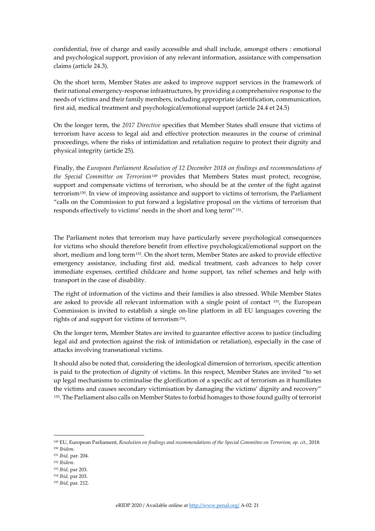confidential, free of charge and easily accessible and shall include, amongst others : emotional and psychological support, provision of any relevant information, assistance with compensation claims (article 24.3).

On the short term, Member States are asked to improve support services in the framework of their national emergency-response infrastructures, by providing a comprehensive response to the needs of victims and their family members, including appropriate identification, communication, first aid, medical treatment and psychological/emotional support (article 24.4 et 24.5)

On the longer term, the *2017 Directive* specifies that Member States shall ensure that victims of terrorism have access to legal aid and effective protection measures in the course of criminal proceedings, where the risks of intimidation and retaliation require to protect their dignity and physical integrity (article 25).

Finally, the *European Parliament Resolution of 12 December 2018 on findings and recommendations of the Special Committee on Terrorism*[149](#page-20-0) provides that Members States must protect, recognise, support and compensate victims of terrorism, who should be at the center of the fight against terrorism[150.](#page-20-1) In view of improving assistance and support to victims of terrorism, the Parliament "calls on the Commission to put forward a legislative proposal on the victims of terrorism that responds effectively to victims' needs in the short and long term"[151](#page-20-2).

The Parliament notes that terrorism may have particularly severe psychological consequences for victims who should therefore benefit from effective psychological/emotional support on the short, medium and long term<sup>[152](#page-20-3)</sup>. On the short term, Member States are asked to provide effective emergency assistance, including first aid, medical treatment, cash advances to help cover immediate expenses, certified childcare and home support, tax relief schemes and help with transport in the case of disability.

The right of information of the victims and their families is also stressed. While Member States are asked to provide all relevant information with a single point of contact [153](#page-20-4), the European Commission is invited to establish a single on-line platform in all EU languages covering the rights of and support for victims of terrorism[154.](#page-20-5)

On the longer term, Member States are invited to guarantee effective access to justice (including legal aid and protection against the risk of intimidation or retaliation), especially in the case of attacks involving transnational victims.

It should also be noted that, considering the ideological dimension of terrorism, specific attention is paid to the protection of dignity of victims. In this respect, Member States are invited "to set up legal mechanisms to criminalise the glorification of a specific act of terrorism as it humiliates the victims and causes secondary victimisation by damaging the victims' dignity and recovery" [155.](#page-20-6) The Parliament also calls on Member States to forbid homages to those found guilty of terrorist

<span id="page-20-4"></span><sup>153</sup> *Ibid,* par 203.

<span id="page-20-0"></span><sup>149</sup> EU, European Parliament, *Resolution on findings and recommendations of the Special Committee on Terrorism, op. cit.,* 2018. <sup>150</sup> *Ibidem.*

<span id="page-20-2"></span><span id="page-20-1"></span><sup>151</sup> *Ibid,* par. 204.

<span id="page-20-3"></span><sup>152</sup> *Ibidem.*

<sup>154</sup> *Ibid,* par 203.

<span id="page-20-6"></span><span id="page-20-5"></span><sup>155</sup> *Ibid,* par. 212.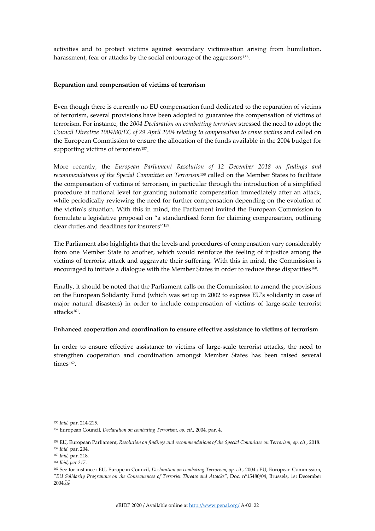activities and to protect victims against secondary victimisation arising from humiliation, harassment, fear or attacks by the social entourage of the aggressors<sup>156</sup>.

## **Reparation and compensation of victims of terrorism**

Even though there is currently no EU compensation fund dedicated to the reparation of victims of terrorism, several provisions have been adopted to guarantee the compensation of victims of terrorism. For instance, the *2004 Declaration on combatting terrorism* stressed the need to adopt the *Council Directive 2004/80/EC of 29 April 2004 relating to compensation to crime victims and called on* the European Commission to ensure the allocation of the funds available in the 2004 budget for supporting victims of terrorism<sup>157</sup>.

More recently, the *European Parliament Resolution of 12 December 2018 on findings and recommendations of the Special Committee on Terrorism*[158](#page-21-2) called on the Member States to facilitate the compensation of victims of terrorism, in particular through the introduction of a simplified procedure at national level for granting automatic compensation immediately after an attack, while periodically reviewing the need for further compensation depending on the evolution of the victim's situation. With this in mind, the Parliament invited the European Commission to formulate a legislative proposal on "a standardised form for claiming compensation, outlining clear duties and deadlines for insurers"[159.](#page-21-3)

The Parliament also highlights that the levels and procedures of compensation vary considerably from one Member State to another, which would reinforce the feeling of injustice among the victims of terrorist attack and aggravate their suffering. With this in mind, the Commission is encouraged to initiate a dialogue with the Member States in order to reduce these disparities<sup>[160](#page-21-4)</sup>.

Finally, it should be noted that the Parliament calls on the Commission to amend the provisions on the European Solidarity Fund (which was set up in 2002 to express EU's solidarity in case of major natural disasters) in order to include compensation of victims of large-scale terrorist attacks[161](#page-21-5).

### **Enhanced cooperation and coordination to ensure effective assistance to victims of terrorism**

In order to ensure effective assistance to victims of large-scale terrorist attacks, the need to strengthen cooperation and coordination amongst Member States has been raised several times<sup>162</sup>.

<span id="page-21-1"></span><span id="page-21-0"></span><sup>156</sup> *Ibid,* par. 214-215.

<span id="page-21-2"></span><sup>157</sup> European Council, *Declaration on combating Terrorism*, *op. cit.,* 2004, par. 4.

<span id="page-21-3"></span><sup>158</sup> EU, European Parliament, *Resolution on findings and recommendations of the Special Committee on Terrorism, op. cit.,* 2018.

<span id="page-21-5"></span><span id="page-21-4"></span><sup>159</sup> *Ibid,* par. 204.

<span id="page-21-6"></span><sup>160</sup> *Ibid,* par. 218.

<sup>161</sup> *Ibid, par 217.*

<sup>162</sup> See for instance : EU, European Council, *Declaration on combating Terrorism*, *op. cit.,* 2004 ; EU, European Commission, *"EU Solidarity Programme on the Consequences of Terrorist Threats and Attacks"*, Doc. n°15480/04, Brussels, 1st December  $2004.55$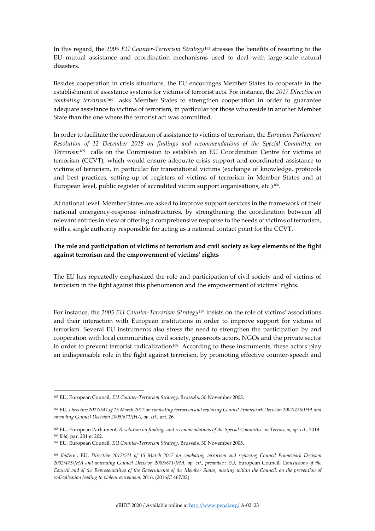In this regard, the *2005 EU Counter-Terrorism Strategy*[163](#page-22-0) stresses the benefits of resorting to the EU mutual assistance and coordination mechanisms used to deal with large-scale natural disasters.

Besides cooperation in crisis situations, the EU encourages Member States to cooperate in the establishment of assistance systems for victims of terrorist acts. For instance, the *2017 Directive on combating terrorism*[164](#page-22-1) asks Member States to strengthen cooperation in order to guarantee adequate assistance to victims of terrorism, in particular for those who reside in another Member State than the one where the terrorist act was committed.

In order to facilitate the coordination of assistance to victims of terrorism, the *European Parliament Resolution of 12 December 2018 on findings and recommendations of the Special Committee on Terrorism*[165](#page-22-2) calls on the Commission to establish an EU Coordination Centre for victims of terrorism (CCVT), which would ensure adequate crisis support and coordinated assistance to victims of terrorism, in particular for transnational victims (exchange of knowledge, protocols and best practices, setting-up of registers of victims of terrorism in Member States and at European level, public register of accredited victim support organisations, etc.)<sup>[166](#page-22-3)</sup>.

At national level, Member States are asked to improve support services in the framework of their national emergency-response infrastructures, by strengthening the coordination between all relevant entities in view of offering a comprehensive response to the needs of victims of terrorism, with a single authority responsible for acting as a national contact point for the CCVT.

# **The role and participation of victims of terrorism and civil society as key elements of the fight against terrorism and the empowerment of victims' rights**

The EU has repeatedly emphasized the role and participation of civil society and of victims of terrorism in the fight against this phenomenon and the empowerment of victims' rights.

For instance, the *2005 EU Counter-Terrorism Strategy*[167](#page-22-4) insists on the role of victims' associations and their interaction with European institutions in order to improve support for victims of terrorism. Several EU instruments also stress the need to strengthen the participation by and cooperation with local communities, civil society, grassroots actors, NGOs and the private sector in order to prevent terrorist radicalization<sup>[168](#page-22-5)</sup>. According to these instruments, these actors play an indispensable role in the fight against terrorism, by promoting effective counter-speech and

<span id="page-22-0"></span><sup>163</sup> EU, European Council, *EU Counter-Terrorism Strategy*, Brussels, 30 November 2005.

<span id="page-22-1"></span><sup>164</sup> EU, *Directive 2017/541 of 15 March 2017 on combating terrorism and replacing Council Framework Decision 2002/475/JHA and amending Council Decision 2005/671/JHA, op. cit.,* art. 26.

<span id="page-22-3"></span><span id="page-22-2"></span><sup>165</sup> EU, European Parliament, *Resolution on findings and recommendations of the Special Committee on Terrorism, op. cit.,* 2018. <sup>166</sup> *Ibid,* par. 201 et 202.

<span id="page-22-4"></span><sup>167</sup> EU, European Council, *EU Counter-Terrorism Strategy*, Brussels, 30 November 2005.

<span id="page-22-5"></span><sup>168</sup> *Ibid*em ; EU, *Directive 2017/541 of 15 March 2017 on combating terrorism and replacing Council Framework Decision*  2002/475/JHA and amending Council Decision 2005/671/JHA, op. cit., preamble; EU, European Council, *Conclusions of the Council and of the Representatives of the Governments of the Member States, meeting within the Council, on the prevention of radicalisation leading to violent extremism,* 2016, (2016/C 467/02).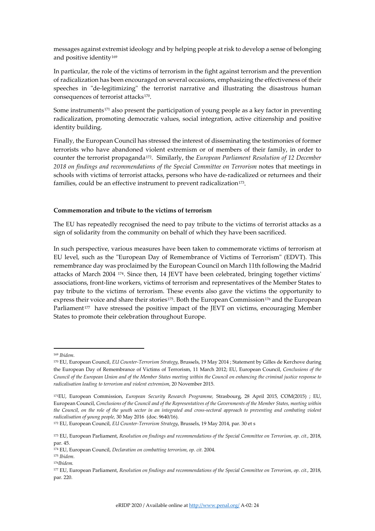messages against extremist ideology and by helping people at risk to develop a sense of belonging and positive identity<sup>[169](#page-23-0)</sup>

In particular, the role of the victims of terrorism in the fight against terrorism and the prevention of radicalization has been encouraged on several occasions, emphasizing the effectiveness of their speeches in "de-legitimizing" the terrorist narrative and illustrating the disastrous human consequences of terrorist attacks<sup>170</sup>.

Some instruments[171](#page-23-2) also present the participation of young people as a key factor in preventing radicalization, promoting democratic values, social integration, active citizenship and positive identity building.

Finally, the European Council has stressed the interest of disseminating the testimonies of former terrorists who have abandoned violent extremism or of members of their family, in order to counter the terrorist propaganda[172.](#page-23-3) Similarly, the *European Parliament Resolution of 12 December*  2018 on findings and recommendations of the Special Committee on Terrorism notes that meetings in schools with victims of terrorist attacks, persons who have de-radicalized or returnees and their families, could be an effective instrument to prevent radicalization<sup>173</sup>.

### **Commemoration and tribute to the victims of terrorism**

The EU has repeatedly recognised the need to pay tribute to the victims of terrorist attacks as a sign of solidarity from the community on behalf of which they have been sacrificed.

In such perspective, various measures have been taken to commemorate victims of terrorism at EU level, such as the "European Day of Remembrance of Victims of Terrorism" (EDVT). This remembrance day was proclaimed by the European Council on March 11th following the Madrid attacks of March 2004 [174](#page-23-5). Since then, 14 JEVT have been celebrated, bringing together victims' associations, front-line workers, victims of terrorism and representatives of the Member States to pay tribute to the victims of terrorism. These events also gave the victims the opportunity to express their voice and share their stories<sup>[175](#page-23-6)</sup>. Both the European Commission<sup>[176](#page-23-7)</sup> and the European Parliament<sup>[177](#page-23-8)</sup> have stressed the positive impact of the JEVT on victims, encouraging Member States to promote their celebration throughout Europe.

<span id="page-23-0"></span><sup>169</sup> *Ibidem.*

<span id="page-23-1"></span><sup>170</sup> EU, European Council, *EU Counter-Terrorism Strategy*, Brussels, 19 May 2014 ; Statement by Gilles de Kerchove during the European Day of Remembrance of Victims of Terrorism, 11 March 2012; EU, European Council, *Conclusions of the Council of the European Union and of the Member States meeting within the Council on enhancing the criminal justice response to radicalisation leading to terrorism and violent extremism*, 20 November 2015.

<span id="page-23-2"></span><sup>171</sup>EU, European Commission, *European Security Research Programme,* Strasbourg, 28 April 2015, COM(2015) ; EU, European Council, *Conclusions of the Council and of the Representatives of the Governments of the Member States, meeting within*  the Council, on the role of the youth sector in an integrated and cross-sectoral approach to preventing and combating violent *radicalisation of young people,* 30 May 2016 (doc. 9640/16).

<span id="page-23-3"></span><sup>172</sup> EU, European Council, *EU Counter-Terrorism Strategy*, Brussels, 19 May 2014, par. 30 et s

<span id="page-23-4"></span><sup>173</sup> EU, European Parliament, *Resolution on findings and recommendations of the Special Committee on Terrorism, op. cit.,* 2018, par. 45.

<span id="page-23-5"></span><sup>174</sup> EU, European Council, *Declaration on combatting terrorism, op. cit.* 2004.

<span id="page-23-6"></span><sup>175</sup> *Ibidem.*

<span id="page-23-7"></span><sup>176</sup>*Ibidem.*

<span id="page-23-8"></span><sup>177</sup> EU, European Parliament, *Resolution on findings and recommendations of the Special Committee on Terrorism, op. cit.,* 2018, par. 220.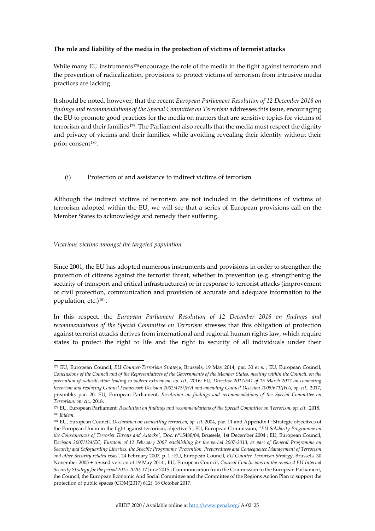# **The role and liability of the media in the protection of victims of terrorist attacks**

While many EU instruments<sup>[178](#page-24-0)</sup> encourage the role of the media in the fight against terrorism and the prevention of radicalization, provisions to protect victims of terrorism from intrusive media practices are lacking.

It should be noted, however, that the recent *European Parliament Resolution of 12 December 2018 on findings and recommendations of the Special Committee on Terrorism addresses this issue, encouraging* the EU to promote good practices for the media on matters that are sensitive topics for victims of terrorism and their families<sup>179</sup>. The Parliament also recalls that the media must respect the dignity and privacy of victims and their families, while avoiding revealing their identity without their prior consent<sup>[180](#page-24-2)</sup>.

# (i) Protection of and assistance to indirect victims of terrorism

Although the indirect victims of terrorism are not included in the definitions of victims of terrorism adopted within the EU, we will see that a series of European provisions call on the Member States to acknowledge and remedy their suffering.

# *Vicarious victims amongst the targeted population*

Since 2001, the EU has adopted numerous instruments and provisions in order to strengthen the protection of citizens against the terrorist threat, whether in prevention (e.g. strengthening the security of transport and critical infrastructures) or in response to terrorist attacks (improvement of civil protection, communication and provision of accurate and adequate information to the population, etc.)[181](#page-24-3) .

In this respect, the *European Parliament Resolution of 12 December 2018 on findings and recommendations of the Special Committee on Terrorism* stresses that this obligation of protection against terrorist attacks derives from international and regional human rights law, which require states to protect the right to life and the right to security of all individuals under their

<span id="page-24-0"></span><sup>178</sup> EU, European Council, *EU Counter-Terrorism Strategy*, Brussels, 19 May 2014, par. 30 et s. ; EU, European Council, *Conclusions of the Council and of the Representatives of the Governments of the Member States, meeting within the Council, on the prevention of radicalisation leading to violent extremism, op. cit.,* 2016; EU, *Directive 2017/541 of 15 March 2017 on combating terrorism and replacing Council Framework Decision 2002/475/JHA and amending Council Decision 2005/671/JHA, op. cit., 2017,* preamble, par. 20. EU, European Parliament, *Resolution on findings and recommendations of the Special Committee on Terrorism, op. cit.,* 2018.

<span id="page-24-1"></span><sup>179</sup> EU, European Parliament, *Resolution on findings and recommendations of the Special Committee on Terrorism, op. cit.,* 2018. <sup>180</sup> *Ibidem.*

<span id="page-24-3"></span><span id="page-24-2"></span><sup>&</sup>lt;sup>181</sup> EU, European Council, *Declaration on combatting terrorism, op. cit.* 2004, par. 11 and Appendix I: Strategic objectives of the European Union in the fight against terrorism, objective 5 ; EU, European Commission, *"EU Solidarity Programme on the Consequences of Terrorist Threats and Attacks"*, Doc. n°15480/04, Brussels, 1st December 2004 ; EU, European Council, *Decision 2007/124/EC, Euratom of 12 February 2007 establishing for the period 2007-2013, as part of General Programme on Security and Safeguarding Liberties, the Specific Programme 'Prevention, Preparedness and Consequence Management of Terrorism and other Security related risks'*, 24 February 2007, p. 1 ; EU, European Council, *EU Counter-Terrorism Strategy*, Brussels, 30 November 2005 + revised version of 19 May 2014 ; EU, European Council, *Council Conclusions on the renewed EU Internal Security Strategy for the period 2015-2020,* 17 June 2015 ; Communication from the Commission to the European Parliament, the Council, the European Economic And Social Committee and the Committee of the Regions Action Plan to support the protection of public spaces (COM(2017) 612), 18 October 2017.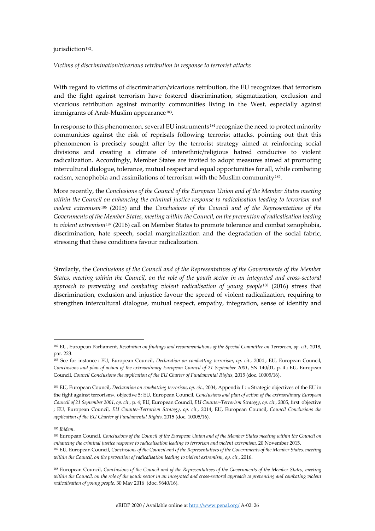#### jurisdiction<sup>182</sup>.

#### *Victims of discrimination/vicarious retribution in response to terrorist attacks*

With regard to victims of discrimination/vicarious retribution, the EU recognizes that terrorism and the fight against terrorism have fostered discrimination, stigmatization, exclusion and vicarious retribution against minority communities living in the West, especially against immigrants of Arab-Muslim appearance<sup>[183](#page-25-1)</sup>.

In response to this phenomenon, several EU instruments[184](#page-25-2) recognize the need to protect minority communities against the risk of reprisals following terrorist attacks, pointing out that this phenomenon is precisely sought after by the terrorist strategy aimed at reinforcing social divisions and creating a climate of interethnic/religious hatred conducive to violent radicalization. Accordingly, Member States are invited to adopt measures aimed at promoting intercultural dialogue, tolerance, mutual respect and equal opportunities for all, while combating racism, xenophobia and assimilations of terrorism with the Muslim community[185](#page-25-3).

More recently, the *Conclusions of the Council of the European Union and of the Member States meeting within the Council on enhancing the criminal justice response to radicalisation leading to terrorism and violent extremism*[186](#page-25-4) (2015) and the *Conclusions of the Council and of the Representatives of the Governments of the Member States, meeting within the Council, on the prevention of radicalisation leading to violent extremism*[187](#page-25-5) (2016) call on Member States to promote tolerance and combat xenophobia, discrimination, hate speech, social marginalization and the degradation of the social fabric, stressing that these conditions favour radicalization.

Similarly, the *Conclusions of the Council and of the Representatives of the Governments of the Member States, meeting within the Council, on the role of the youth sector in an integrated and cross-sectoral*  approach to preventing and combating violent radicalisation of young people<sup>[188](#page-25-6)</sup> (2016) stress that discrimination, exclusion and injustice favour the spread of violent radicalization, requiring to strengthen intercultural dialogue, mutual respect, empathy, integration, sense of identity and

<span id="page-25-0"></span><sup>182</sup> EU, European Parliament, *Resolution on findings and recommendations of the Special Committee on Terrorism, op. cit.,* 2018, par. 223.

<span id="page-25-1"></span><sup>183</sup> See for instance : EU, European Council, *Declaration on combatting terrorism*, *op. cit.,* 2004 ; EU, European Council, *Conclusions and plan of action of the extraordinary European Council of 21 September 2001*, SN 140/01, p. 4 ; EU, European Council, *Council Conclusions the application of the EU Charter of Fundamental Rights*, 2015 (doc. 10005/16).

<span id="page-25-2"></span><sup>184</sup> EU, European Council, *Declaration on combatting terrorism*, *op. cit.,* 2004, Appendix I : « Strategic objectives of the EU in the fight against terrorism», objective 5; EU, European Council, *Conclusions and plan of action of the extraordinary European Council of 21 September 2001*, *op. cit.,* p. 4; EU, European Council, *EU Counter-Terrorism Strategy*, *op. cit.,* 2005, first objective ; EU, European Council, *EU Counter-Terrorism Strategy*, *op. cit.,* 2014; EU, European Council, *Council Conclusions the application of the EU Charter of Fundamental Rights*, 2015 (doc. 10005/16).

<span id="page-25-3"></span><sup>185</sup> *Ibidem*.

<span id="page-25-4"></span><sup>186</sup> European Council, *Conclusions of the Council of the European Union and of the Member States meeting within the Council on enhancing the criminal justice response to radicalisation leading to terrorism and violent extremism*, 20 November 2015.

<span id="page-25-5"></span><sup>187</sup> EU, European Council, *Conclusions of the Council and of the Representatives of the Governments of the Member States, meeting within the Council, on the prevention of radicalisation leading to violent extremism, op. cit.,* 2016.

<span id="page-25-6"></span><sup>188</sup> European Council, *Conclusions of the Council and of the Representatives of the Governments of the Member States, meeting within the Council, on the role of the youth sector in an integrated and cross-sectoral approach to preventing and combating violent radicalisation of young people,* 30 May 2016 (doc. 9640/16).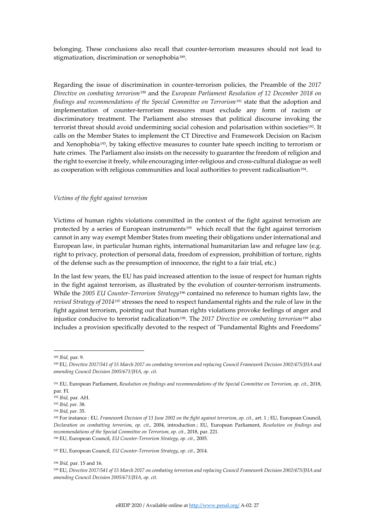belonging. These conclusions also recall that counter-terrorism measures should not lead to stigmatization, discrimination or xenophobia<sup>189</sup>.

Regarding the issue of discrimination in counter-terrorism policies, the Preamble of the *2017 Directive on combating terrorism*[190](#page-26-1) and the *European Parliament Resolution of 12 December 2018 on findings and recommendations of the Special Committee on Terrorism*[191](#page-26-2) state that the adoption and implementation of counter-terrorism measures must exclude any form of racism or discriminatory treatment. The Parliament also stresses that political discourse invoking the terrorist threat should avoid undermining social cohesion and polarisation within societies<sup>[192](#page-26-3)</sup>. It calls on the Member States to implement the CT Directive and Framework Decision on Racism and Xenophobia<sup>[193](#page-26-4)</sup>, by taking effective measures to counter hate speech inciting to terrorism or hate crimes. The Parliament also insists on the necessity to guarantee the freedom of religion and the right to exercise it freely, while encouraging inter-religious and cross-cultural dialogue as well as cooperation with religious communities and local authorities to prevent radicalisation<sup>[194](#page-26-5)</sup>.

#### *Victims of the fight against terrorism*

Victims of human rights violations committed in the context of the fight against terrorism are protected by a series of European instruments<sup>195</sup> which recall that the fight against terrorism cannot in any way exempt Member States from meeting their obligations under international and European law, in particular human rights, international humanitarian law and refugee law (e.g. right to privacy, protection of personal data, freedom of expression, prohibition of torture, rights of the defense such as the presumption of innocence, the right to a fair trial, etc.)

In the last few years, the EU has paid increased attention to the issue of respect for human rights in the fight against terrorism, as illustrated by the evolution of counter-terrorism instruments. While the *2005 EU Counter-Terrorism Strategy*[196](#page-26-7) contained no reference to human rights law, the *revised Strategy of 2014*[197](#page-26-8) stresses the need to respect fundamental rights and the rule of law in the fight against terrorism, pointing out that human rights violations provoke feelings of anger and injustice conducive to terrorist radicalization[198.](#page-26-9) The *2017 Directive on combating terrorism*[199](#page-26-10) also includes a provision specifically devoted to the respect of "Fundamental Rights and Freedoms"

<span id="page-26-8"></span><span id="page-26-7"></span><sup>197</sup> EU, European Council, *EU Counter-Terrorism Strategy*, *op. cit.,* 2014.

<span id="page-26-0"></span><sup>189</sup> *Ibid,* par. 9.

<span id="page-26-1"></span><sup>190</sup> EU, *Directive 2017/541 of 15 March 2017 on combating terrorism and replacing Council Framework Decision 2002/475/JHA and amending Council Decision 2005/671/JHA, op. cit.*

<span id="page-26-2"></span><sup>191</sup> EU, European Parliament, *Resolution on findings and recommendations of the Special Committee on Terrorism, op. cit.,* 2018, par. FI.

<span id="page-26-3"></span><sup>192</sup> *Ibid,* par. AH.

<span id="page-26-4"></span><sup>193</sup> *Ibid, par.* 38.

<span id="page-26-5"></span><sup>194</sup> *Ibid, par.* 35.

<span id="page-26-6"></span><sup>195</sup> For instance : EU, *Framework Decision of 13 June 2002 on the fight against terrorism*, *op. cit.,* art. 1 ; EU, European Council, *Declaration on combatting terrorism*, *op. cit.,* 2004, introduction ; EU, European Parliament, *Resolution on findings and recommendations of the Special Committee on Terrorism, op. cit., 2018, par. 221.* <sup>196</sup> EU, European Council, *EU Counter-Terrorism Strategy*, *op. cit.,* 2005.

<span id="page-26-9"></span><sup>198</sup> *Ibid,* par. 15 and 16.

<span id="page-26-10"></span><sup>199</sup> EU, *Directive 2017/541 of 15 March 2017 on combating terrorism and replacing Council Framework Decision 2002/475/JHA and amending Council Decision 2005/671/JHA, op. cit.*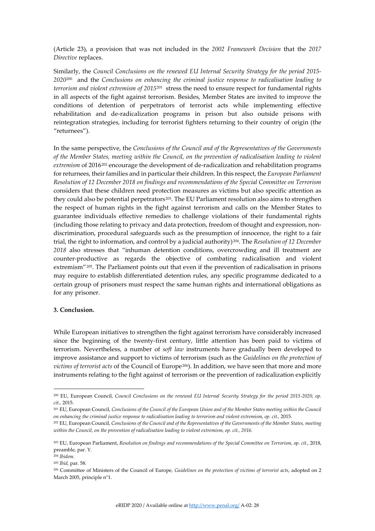(Article 23), a provision that was not included in the *2002 Framework Decision* that the *2017 Directive* replaces.

Similarly, the *Council Conclusions on the renewed EU Internal Security Strategy for the period 2015- 2020*[200](#page-27-0) and the *Conclusions on enhancing the criminal justice response to radicalisation leading to terrorism and violent extremism of 2015*[201](#page-27-1) stress the need to ensure respect for fundamental rights in all aspects of the fight against terrorism. Besides, Member States are invited to improve the conditions of detention of perpetrators of terrorist acts while implementing effective rehabilitation and de-radicalization programs in prison but also outside prisons with reintegration strategies, including for terrorist fighters returning to their country of origin (the "returnees").

In the same perspective, the *Conclusions of the Council and of the Representatives of the Governments of the Member States, meeting within the Council, on the prevention of radicalisation leading to violent*  extremism of 2016<sup>[202](#page-27-2)</sup> encourage the development of de-radicalization and rehabilitation programs for returnees, their families and in particular their children. In this respect, the *European Parliament Resolution of 12 December 2018 on findings and recommendations of the Special Committee on Terrorism* considers that these children need protection measures as victims but also specific attention as they could also be potential perpetrators<sup>203</sup>. The EU Parliament resolution also aims to strengthen the respect of human rights in the fight against terrorism and calls on the Member States to guarantee individuals effective remedies to challenge violations of their fundamental rights (including those relating to privacy and data protection, freedom of thought and expression, nondiscrimination, procedural safeguards such as the presumption of innocence, the right to a fair trial, the right to information, and control by a judicial authority)[204](#page-27-4). The *Resolution of 12 December 2018* also stresses that "inhuman detention conditions, overcrowding and ill treatment are counter-productive as regards the objective of combating radicalisation and violent extremism"[205](#page-27-5). The Parliament points out that even if the prevention of radicalisation in prisons may require to establish differentiated detention rules, any specific programme dedicated to a certain group of prisoners must respect the same human rights and international obligations as for any prisoner.

## **3. Conclusion.**

While European initiatives to strengthen the fight against terrorism have considerably increased since the beginning of the twenty-first century, little attention has been paid to victims of terrorism. Nevertheless, a number of *soft law* instruments have gradually been developed to improve assistance and support to victims of terrorism (such as the *Guidelines on the protection of victims of terrorist acts* of the Council of Europe [206\)](#page-27-6). In addition, we have seen that more and more instruments relating to the fight against of terrorism or the prevention of radicalization explicitly

<span id="page-27-0"></span><sup>&</sup>lt;sup>200</sup> EU, European Council, *Council Conclusions on the renewed EU Internal Security Strategy for the period 2015-2020, op. cit.,* 2015.

<span id="page-27-1"></span><sup>&</sup>lt;sup>201</sup> EU, European Council, *Conclusions of the Council of the European Union and of the Member States meeting within the Council on enhancing the criminal justice response to radicalisation leading to terrorism and violent extremism*, *op. cit.,* 2015.

<span id="page-27-2"></span><sup>202</sup> EU, European Council, *Conclusions of the Council and of the Representatives of the Governments of the Member States, meeting within the Council, on the prevention of radicalisation leading to violent extremism, op. cit., 2016.*

<span id="page-27-3"></span><sup>203</sup> EU, European Parliament, *Resolution on findings and recommendations of the Special Committee on Terrorism, op. cit.,* 2018, preamble, par. Y.

<span id="page-27-5"></span><span id="page-27-4"></span><sup>204</sup> *Ibidem.*

<sup>205</sup> *Ibid,* par. 58.

<span id="page-27-6"></span><sup>206</sup> Committee of Ministers of the Council of Europe*, Guidelines on the protection of victims of terrorist acts*, adopted on 2 March 2005, principle n°1.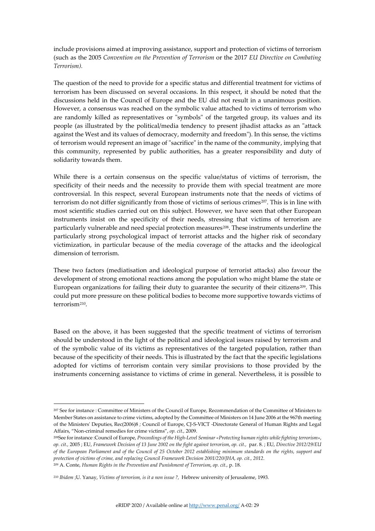include provisions aimed at improving assistance, support and protection of victims of terrorism (such as the 2005 *Convention on the Prevention of Terrorism* or the 2017 *EU Directive on Combating Terrorism).* 

The question of the need to provide for a specific status and differential treatment for victims of terrorism has been discussed on several occasions. In this respect, it should be noted that the discussions held in the Council of Europe and the EU did not result in a unanimous position. However, a consensus was reached on the symbolic value attached to victims of terrorism who are randomly killed as representatives or "symbols" of the targeted group, its values and its people (as illustrated by the political/media tendency to present jihadist attacks as an "attack against the West and its values of democracy, modernity and freedom"). In this sense, the victims of terrorism would represent an image of "sacrifice" in the name of the community, implying that this community, represented by public authorities, has a greater responsibility and duty of solidarity towards them.

While there is a certain consensus on the specific value/status of victims of terrorism, the specificity of their needs and the necessity to provide them with special treatment are more controversial. In this respect, several European instruments note that the needs of victims of terrorism do not differ significantly from those of victims of serious crimes<sup>207</sup>. This is in line with most scientific studies carried out on this subject. However, we have seen that other European instruments insist on the specificity of their needs, stressing that victims of terrorism are particularly vulnerable and need special protection measures[208](#page-28-1). These instruments underline the particularly strong psychological impact of terrorist attacks and the higher risk of secondary victimization, in particular because of the media coverage of the attacks and the ideological dimension of terrorism.

These two factors (mediatisation and ideological purpose of terrorist attacks) also favour the development of strong emotional reactions among the population who might blame the state or European organizations for failing their duty to guarantee the security of their citizens<sup>[209](#page-28-2)</sup>. This could put more pressure on these political bodies to become more supportive towards victims of terrorism[210.](#page-28-3)

Based on the above, it has been suggested that the specific treatment of victims of terrorism should be understood in the light of the political and ideological issues raised by terrorism and of the symbolic value of its victims as representatives of the targeted population, rather than because of the specificity of their needs. This is illustrated by the fact that the specific legislations adopted for victims of terrorism contain very similar provisions to those provided by the instruments concerning assistance to victims of crime in general. Nevertheless, it is possible to

<span id="page-28-0"></span><sup>207</sup> See for instance : Committee of Ministers of the Council of Europe*,* Recommendation of the Committee of Ministers to Member States on assistance to crime victims, adopted by the Committee of Ministers on 14 June 2006 at the 967th meeting of the Ministers' Deputies, Rec(2006)8 *;* Council of Europe, CJ-S-VICT -Directorate General of Human Rights and Legal Affairs, "Non-criminal remedies for crime victims", *op. cit.,* 2009.

<span id="page-28-1"></span><sup>208</sup>See for instance :Council of Europe, *Proceedings of the High-Level Seminar «Protecting human rights while fighting terrorism»*, *op. cit.,* 2005 ; EU, *Framework Decision of 13 June 2002 on the fight against terrorism*, *op. cit.,* par. 8. ; EU, *Directive 2012/29/EU of the European Parliament and of the Council of 25 October 2012 establishing minimum standards on the rights, support and protection of victims of crime, and replacing Council Framework Decision 2001/220/JHA, op. cit., 2012*.

<span id="page-28-2"></span><sup>209</sup> A. Conte, *Human Rights in the Prevention and Punishment of Terrorism*, *op. cit.,* p. 18.

<span id="page-28-3"></span><sup>210</sup> *Ibidem* ;U. Yanay, *Victims of terrorism, is it a non issue ?,* Hebrew university of Jerusaleme, 1993.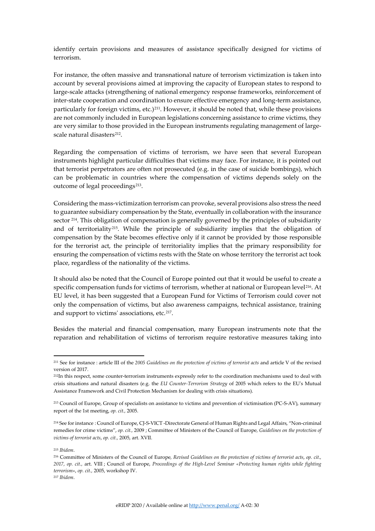identify certain provisions and measures of assistance specifically designed for victims of terrorism.

For instance, the often massive and transnational nature of terrorism victimization is taken into account by several provisions aimed at improving the capacity of European states to respond to large-scale attacks (strengthening of national emergency response frameworks, reinforcement of inter-state cooperation and coordination to ensure effective emergency and long-term assistance, particularly for foreign victims, etc.)[211](#page-29-0). However, it should be noted that, while these provisions are not commonly included in European legislations concerning assistance to crime victims, they are very similar to those provided in the European instruments regulating management of largescale natural disasters<sup>212</sup>.

Regarding the compensation of victims of terrorism, we have seen that several European instruments highlight particular difficulties that victims may face. For instance, it is pointed out that terrorist perpetrators are often not prosecuted (e.g. in the case of suicide bombings), which can be problematic in countries where the compensation of victims depends solely on the outcome of legal proceedings<sup>[213](#page-29-2)</sup>.

Considering the mass-victimization terrorism can provoke, several provisions also stress the need to guarantee subsidiary compensation by the State, eventually in collaboration with the insurance sector <sup>[214](#page-29-3)</sup>. This obligation of compensation is generally governed by the principles of subsidiarity and of territoriality[215.](#page-29-4) While the principle of subsidiarity implies that the obligation of compensation by the State becomes effective only if it cannot be provided by those responsible for the terrorist act, the principle of territoriality implies that the primary responsibility for ensuring the compensation of victims rests with the State on whose territory the terrorist act took place, regardless of the nationality of the victims.

It should also be noted that the Council of Europe pointed out that it would be useful to create a specific compensation funds for victims of terrorism, whether at national or European level<sup>[216](#page-29-5)</sup>. At EU level, it has been suggested that a European Fund for Victims of Terrorism could cover not only the compensation of victims, but also awareness campaigns, technical assistance, training and support to victims' associations, etc.[217.](#page-29-6)

Besides the material and financial compensation, many European instruments note that the reparation and rehabilitation of victims of terrorism require restorative measures taking into

<span id="page-29-0"></span><sup>211</sup> See for instance : article III of the *2005 Guidelines on the protection of victims of terrorist acts* and article V of the revised version of 2017.

<span id="page-29-1"></span><sup>212</sup>In this respect, some counter-terrorism instruments expressly refer to the coordination mechanisms used to deal with crisis situations and natural disasters (e.g. the *EU Counter-Terrorism Strategy* of 2005 which refers to the EU's Mutual Assistance Framework and Civil Protection Mechanism for dealing with crisis situations).

<span id="page-29-2"></span><sup>213</sup> Council of Europe, Group of specialists on assistance to victims and prevention of victimisation (PC-S-AV), summary report of the 1st meeting, *op. cit.,* 2005.

<span id="page-29-3"></span><sup>214</sup> See for instance : Council of Europe, CJ-S-VICT -Directorate General of Human Rights and Legal Affairs, "Non-criminal remedies for crime victims", *op. cit.,* 2009 ; Committee of Ministers of the Council of Europe*, Guidelines on the protection of victims of terrorist acts*, *op. cit.,* 2005, art. XVII.

<span id="page-29-4"></span><sup>215</sup> *Ibidem*.

<span id="page-29-6"></span><span id="page-29-5"></span><sup>216</sup> Committee of Ministers of the Council of Europe*, Revised Guidelines on the protection of victims of terrorist acts*, *op. cit., 2017, op. cit.,* art. VIII ; Council of Europe, *Proceedings of the High-Level Seminar «Protecting human rights while fighting terrorism»*, *op. cit.,* 2005, workshop IV. <sup>217</sup> *Ibidem*.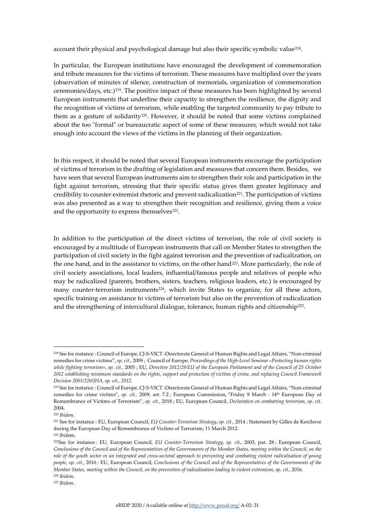account their physical and psychological damage but also their specific symbolic value<sup>218</sup>.

In particular, the European institutions have encouraged the development of commemoration and tribute measures for the victims of terrorism. These measures have multiplied over the years (observation of minutes of silence, construction of memorials, organization of commemoration ceremonies/days, etc.)[219](#page-30-1). The positive impact of these measures has been highlighted by several European instruments that underline their capacity to strengthen the resilience, the dignity and the recognition of victims of terrorism, while enabling the targeted community to pay tribute to them as a gesture of solidarity<sup>220</sup>. However, it should be noted that some victims complained about the too "formal" or bureaucratic aspect of some of these measures, which would not take enough into account the views of the victims in the planning of their organization.

In this respect, it should be noted that several European instruments encourage the participation of victims of terrorism in the drafting of legislation and measures that concern them. Besides, we have seen that several European instruments aim to strengthen their role and participation in the fight against terrorism, stressing that their specific status gives them greater legitimacy and credibility to counter extremist rhetoric and prevent radicalization[221.](#page-30-3) The participation of victims was also presented as a way to strengthen their recognition and resilience, giving them a voice and the opportunity to express themselves<sup>222</sup>.

In addition to the participation of the direct victims of terrorism, the role of civil society is encouraged by a multitude of European instruments that call on Member States to strengthen the participation of civil society in the fight against terrorism and the prevention of radicalization, on the one hand, and in the assistance to victims, on the other hand<sup>223</sup>. More particularly, the role of civil society associations, local leaders, influential/famous people and relatives of people who may be radicalized (parents, brothers, sisters, teachers, religious leaders, etc.) is encouraged by many counter-terrorism instruments<sup>[224](#page-30-6)</sup>, which invite States to organize, for all these actors, specific training on assistance to victims of terrorism but also on the prevention of radicalization and the strengthening of intercultural dialogue, tolerance, human rights and citizenship<sup>225</sup>.

<span id="page-30-0"></span><sup>218</sup> See for instance : Council of Europe, CJ-S-VICT -Directorate General of Human Rights and Legal Affairs, "Non-criminal remedies for crime victims", *op. cit.,* 2009 ; Council of Europe, *Proceedings of the High-Level Seminar «Protecting human rights while fighting terrorism»*, *op. cit.,* 2005 ; EU, *Directive 2012/29/EU of the European Parliament and of the Council of 25 October 2012 establishing minimum standards on the rights, support and protection of victims of crime, and replacing Council Framework Decision 2001/220/JHA, op. cit., 2012*.

<span id="page-30-1"></span><sup>219</sup> See for instance : Council of Europe, CJ-S-VICT -Directorate General of Human Rights and Legal Affairs, "Non-criminal remedies for crime victims", *op. cit.,* 2009, art. 7.2 ; European Commission, "Friday 9 March : 14th European Day of Remembrance of Victims of Terrorism", *op. cit.,* 2018 ; EU, European Council, *Declaration on combatting terrorism, op. cit.*  2004.

<span id="page-30-2"></span><sup>220</sup> *Ibidem.*

<span id="page-30-3"></span><sup>221</sup> See for instance : EU, European Council, *EU Counter-Terrorism Strategy*, *op. cit.,* 2014 ; Statement by Gilles de Kerchove during the European Day of Remembrance of Victims of Terrorism, 11 March 2012. <sup>222</sup> *Ibid*em.

<span id="page-30-5"></span><span id="page-30-4"></span><sup>223</sup>See for instance : EU, European Council, *EU Counter-Terrorism Strategy*, *op. cit.,* 2005, par. 28 ; European Council, *Conclusions of the Council and of the Representatives of the Governments of the Member States, meeting within the Council, on the role of the youth sector in an integrated and cross-sectoral approach to preventing and combating violent radicalisation of young people, op. cit.,* 2016 *;* EU, European Council, *Conclusions of the Council and of the Representatives of the Governments of the Member States, meeting within the Council, on the prevention of radicalisation leading to violent extremism, op. cit.,* 2016. <sup>224</sup> *Ibidem.*

<span id="page-30-7"></span><span id="page-30-6"></span><sup>225</sup> *Ibidem.*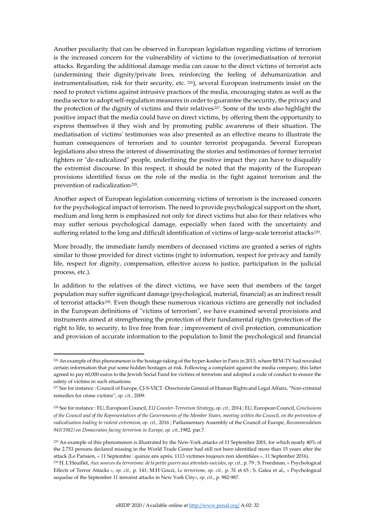Another peculiarity that can be observed in European legislation regarding victims of terrorism is the increased concern for the vulnerability of victims to the (over)mediatisation of terrorist attacks. Regarding the additional damage media can cause to the direct victims of terrorist acts (undermining their dignity/private lives, reinforcing the feeling of dehumanization and instrumentalisation, risk for their security, etc. [226](#page-31-0)), several European instruments insist on the need to protect victims against intrusive practices of the media, encouraging states as well as the media sector to adopt self-regulation measures in order to guarantee the security, the privacy and the protection of the dignity of victims and their relatives<sup>[227](#page-31-1)</sup>. Some of the texts also highlight the positive impact that the media could have on direct victims, by offering them the opportunity to express themselves if they wish and by promoting public awareness of their situation. The mediatisation of victims' testimonies was also presented as an effective means to illustrate the human consequences of terrorism and to counter terrorist propaganda. Several European legislations also stress the interest of disseminating the stories and testimonies of former terrorist fighters or "de-radicalized" people, underlining the positive impact they can have to disqualify the extremist discourse. In this respect, it should be noted that the majority of the European provisions identified focus on the role of the media in the fight against terrorism and the prevention of radicalization<sup>228</sup>.

Another aspect of European legislation concerning victims of terrorism is the increased concern for the psychological impact of terrorism. The need to provide psychological support on the short, medium and long term is emphasized not only for direct victims but also for their relatives who may suffer serious psychological damage, especially when faced with the uncertainty and suffering related to the long and difficult identification of victims of large-scale terrorist attacks<sup>229</sup>.

More broadly, the immediate family members of deceased victims are granted a series of rights similar to those provided for direct victims (right to information, respect for privacy and family life, respect for dignity, compensation, effective access to justice, participation in the judicial process, etc.).

In addition to the relatives of the direct victims, we have seen that members of the target population may suffer significant damage (psychological, material, financial) as an indirect result of terrorist attacks[230.](#page-31-4) Even though these numerous vicarious victims are generally not included in the European definitions of "victims of terrorism", we have examined several provisions and instruments aimed at strengthening the protection of their fundamental rights (protection of the right to life, to security, to live free from fear ; improvement of civil protection, communication and provision of accurate information to the population to limit the psychological and financial

<span id="page-31-0"></span><sup>226</sup> An example of this phenomenon is the hostage-taking of the hyper-kosher in Paris in 2015, where BFM-TV had revealed certain information that put some hidden hostages at risk. Following a complaint against the media company, this latter agreed to pay 60,000 euros to the Jewish Social Fund for victims of terrorism and adopted a code of conduct to ensure the safety of victims in such situations.

<span id="page-31-1"></span><sup>227</sup> See for instance : Council of Europe, CJ-S-VICT -Directorate General of Human Rights and Legal Affairs, "Non-criminal remedies for crime victims", *op. cit.,* 2009.

<span id="page-31-2"></span><sup>228</sup> See for instance : EU, European Council, *EU Counter-Terrorism Strategy*, *op. cit.,* 2014 ; EU, European Council, *Conclusions of the Council and of the Representatives of the Governments of the Member States, meeting within the Council, on the prevention of radicalisation leading to violent extremism, op. cit.,* 2016 ; Parliamentary Assembly of the Council of Europe, *Recommendation 941(1982) on Democraties facing terrorism in Europe, op. cit.,*1982, par.7.

<span id="page-31-3"></span><sup>229</sup> An example of this phenomenon is illustrated by the New-York attacks of 11 September 2001, for which nearly 40% of the 2.753 persons declared missing in the World Trade Center had still not been identified more than 15 years after the attack (Le Parisien, « 11 Septembre : quinze ans après, 1113 victimes toujours non identifiées », 11 September 2016).

<span id="page-31-4"></span><sup>230</sup> H. L'Heuillet, *Aux sources du terrorisme: de la petite guerre aux attentats-suicides*, *op. cit.,* p. 79 ; S*.* Freedman*,* « Psychological Effects of Terror Attacks », *op. cit.,* p. 141; M.H Gozzi, *Le terrorisme*, *op. cit.,* p. 31 et 65 ; S. Galea et al., « Psychological sequelae of the September 11 terrorist attacks in New York City*»*, *op. cit*., p. 982-987.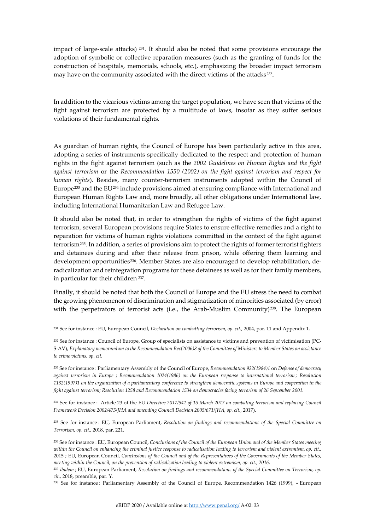impact of large-scale attacks) [231.](#page-32-0) It should also be noted that some provisions encourage the adoption of symbolic or collective reparation measures (such as the granting of funds for the construction of hospitals, memorials, schools, etc.), emphasizing the broader impact terrorism may have on the community associated with the direct victims of the attacks<sup>[232](#page-32-1)</sup>.

In addition to the vicarious victims among the target population, we have seen that victims of the fight against terrorism are protected by a multitude of laws, insofar as they suffer serious violations of their fundamental rights.

As guardian of human rights, the Council of Europe has been particularly active in this area, adopting a series of instruments specifically dedicated to the respect and protection of human rights in the fight against terrorism (such as the *2002 Guidelines on Human Rights and the fight against terrorism* or the *Recommendation 1550 (2002) on the fight against terrorism and respect for human rights*). Besides, many counter-terrorism instruments adopted within the Council of Europe<sup>[233](#page-32-2)</sup> and the EU<sup>[234](#page-32-3)</sup> include provisions aimed at ensuring compliance with International and European Human Rights Law and, more broadly, all other obligations under International law, including International Humanitarian Law and Refugee Law.

It should also be noted that, in order to strengthen the rights of victims of the fight against terrorism, several European provisions require States to ensure effective remedies and a right to reparation for victims of human rights violations committed in the context of the fight against terrorism[235.](#page-32-4) In addition, a series of provisions aim to protect the rights of former terrorist fighters and detainees during and after their release from prison, while offering them learning and development opportunities[236.](#page-32-5) Member States are also encouraged to develop rehabilitation, deradicalization and reintegration programs for these detainees as well as for their family members, in particular for their children [237](#page-32-6).

Finally, it should be noted that both the Council of Europe and the EU stress the need to combat the growing phenomenon of discrimination and stigmatization of minorities associated (by error) with the perpetrators of terrorist acts (i.e., the Arab-Muslim Community)<sup>[238](#page-32-7)</sup>. The European

<span id="page-32-3"></span><sup>234</sup> See for instance : Article 23 of the EU *Directive 2017/541 of 15 March 2017 on combating terrorism and replacing Council* Framework Decision 2002/475/JHA and amending Council Decision 2005/671/JHA, op. cit., 2017).

<span id="page-32-4"></span><sup>235</sup> See for instance : EU, European Parliament, *Resolution on findings and recommendations of the Special Committee on Terrorism, op. cit.,* 2018, par. 221.

<span id="page-32-0"></span><sup>231</sup> See for instance : EU, European Council, *Declaration on combatting terrorism, op. cit.,* 2004, par. 11 and Appendix 1.

<span id="page-32-1"></span><sup>232</sup> See for instance : Council of Europe, Group of specialists on assistance to victims and prevention of victimisation (PC-S-AV), *Explanatory memorandum to the Recommendation Rec(2006)8 of the Committee of Ministers to Member States on assistance to crime victims, op. cit.*

<span id="page-32-2"></span><sup>233</sup> See for instance : Parliamentary Assembly of the Council of Europe, *Recommendation 922(1984)1* on *Defense of democracy against terrorism in Europe* ; *Recommendation 1024(1986) on the European response to international terrorism ; Resolution 1132(1997)1 on the organization of a parliamentary conference to strengthen democratic systems in Europe and cooperation in the fight against terrorism; Resolution 1258 and Recommendation 1534 on democracies facing terrorism of 26 September 2001.*

<span id="page-32-5"></span><sup>236</sup> See for instance : EU, European Council, *Conclusions of the Council of the European Union and of the Member States meeting within the Council on enhancing the criminal justice response to radicalisation leading to terrorism and violent extremism*, *op. cit.,* 2015 ; EU, European Council, *Conclusions of the Council and of the Representatives of the Governments of the Member States, meeting within the Council, on the prevention of radicalisation leading to violent extremism, op. cit., 2016.*

<span id="page-32-6"></span><sup>237</sup> *Ibidem* ; EU, European Parliament, *Resolution on findings and recommendations of the Special Committee on Terrorism, op. cit.,* 2018, preamble, par. Y.

<span id="page-32-7"></span><sup>238</sup> See for instance : Parliamentary Assembly of the Council of Europe, Recommendation 1426 (1999), « European